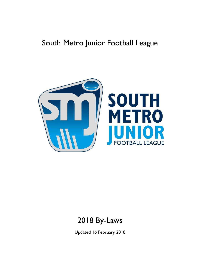# South Metro Junior Football League



# 2018 By-Laws

Updated 16 February 2018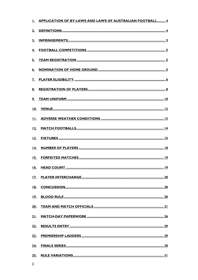|                | 1. APPLICATION OF BY-LAWS AND LAWS OF AUSTRALIAN FOOTBALL 4 |
|----------------|-------------------------------------------------------------|
| 2.             |                                                             |
| 3 <sub>1</sub> |                                                             |
|                |                                                             |
|                |                                                             |
|                |                                                             |
|                |                                                             |
|                |                                                             |
|                |                                                             |
|                |                                                             |
|                |                                                             |
|                |                                                             |
|                |                                                             |
|                |                                                             |
|                |                                                             |
|                |                                                             |
|                |                                                             |
|                |                                                             |
|                |                                                             |
|                |                                                             |
|                |                                                             |
|                |                                                             |
|                |                                                             |
| 24.            |                                                             |
|                |                                                             |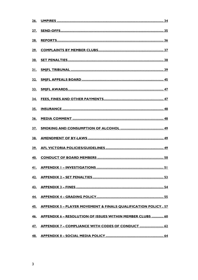| <u>28.</u> |                                                                   |
|------------|-------------------------------------------------------------------|
|            |                                                                   |
|            |                                                                   |
|            |                                                                   |
|            |                                                                   |
|            |                                                                   |
|            |                                                                   |
|            |                                                                   |
| <u>36.</u> |                                                                   |
|            |                                                                   |
|            |                                                                   |
|            |                                                                   |
|            |                                                                   |
|            |                                                                   |
|            |                                                                   |
|            |                                                                   |
|            |                                                                   |
|            | 45. APPENDIX 5 - PLAYER MOVEMENT & FINALS QUALIFICATION POLICY 57 |
|            | 46. APPENDIX 6 - RESOLUTION OF ISSUES WITHIN MEMBER CLUBS  60     |
|            | 47. APPENDIX 7 – COMPLIANCE WITH CODES OF CONDUCT  62             |
|            |                                                                   |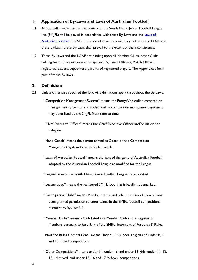# <span id="page-3-0"></span>**1. Application of By-Laws and Laws of Australian Football**

- <span id="page-3-2"></span>1.1. All football matches under the control of the South Metro Junior Football League Inc. (SMIFL) will be played in accordance with these By-Laws and the Laws of [Australian Football](http://aflvic.com.au/wp-content/uploads/2013/08/Laws-of-Australian-Football-2013.pdf) (LOAF). In the event of an inconsistency between the LOAF and these By-laws, these By-Laws shall prevail to the extent of the inconsistency.
- 1.2. These By-Laws and the LOAF are binding upon all Member Clubs, other Clubs fielding teams in accordance with By-Law [5.5,](#page-4-4) Team Officials, Match Officials, registered players, supporters, parents of registered players. The Appendices form part of these By-laws.

# <span id="page-3-1"></span>**2. Definitions**

- 2.1. Unless otherwise specified the following definitions apply throughout the By-Laws:
	- "Competition Management System" means the FootyWeb online competition management system or such other online competition management system as may be utilised by the SMJFL from time to time.
	- "Chief Executive Officer" means the Chief Executive Officer and/or his or her delegate.
	- "Head Coach" means the person named as Coach on the Competition Management System for a particular match.
	- "Laws of Australian Football" means the laws of the game of Australian Football adopted by the Australian Football League as modified for the League.
	- "League" means the South Metro Junior Football League Incorporated.
	- "League Logo" means the registered SMJFL logo that is legally trademarked.
	- "Participating Clubs" means Member Clubs; and other sporting clubs who have been granted permission to enter teams in the SMJFL football competitions pursuant to By-Law [5.5.](#page-4-4)
	- "Member Clubs" means a Club listed as a Member Club in the Register of Members pursuant to Rule 3.14 of the SMJFL Statement of Purposes & Rules.
	- "Modified Rules Competitions" means Under 10 & Under 12 girls and under 8, 9 and 10 mixed competitions.
	- "Other Competitions" means under 14, under 16 and under 18 girls, under 11, 12, 13, 14 mixed, and under 15, 16 and 17 ½ boys' competitions.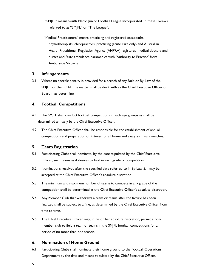"SMJFL" means South Metro Junior Football League Incorporated. In these By-laws referred to as "SMJFL" or "The League".

"Medical Practitioners" means practicing and registered osteopaths, physiotherapists, chiropractors, practicing (acute care only) and Australian Health Practitioner Regulation Agency (AHPRA) registered medical doctors and nurses and State ambulance paramedics with 'Authority to Practice' from Ambulance Victoria.

# <span id="page-4-0"></span>**3. Infringements**

3.1. Where no specific penalty is provided for a breach of any Rule or By-Law of the SMJFL, or the LOAF, the matter shall be dealt with as the Chief Executive Officer or Board may determine.

# <span id="page-4-1"></span>**4. Football Competitions**

- 4.1. The SMJFL shall conduct football competitions in such age groups as shall be determined annually by the Chief Executive Officer.
- 4.2. The Chief Executive Officer shall be responsible for the establishment of annual competitions and preparation of fixtures for all home and away and finals matches.

# <span id="page-4-2"></span>**5. Team Registration**

- <span id="page-4-5"></span>5.1. Participating Clubs shall nominate, by the date stipulated by the Chief Executive Officer, such teams as it desires to field in each grade of competition.
- 5.2. Nominations received after the specified date referred to in By-Law [5.1](#page-4-5) may be accepted at the Chief Executive Officer's absolute discretion.
- 5.3. The minimum and maximum number of teams to compete in any grade of the competition shall be determined at the Chief Executive Officer's absolute discretion.
- 5.4. Any Member Club that withdraws a team or teams after the fixture has been finalized shall be subject to a fine, as determined by the Chief Executive Officer from time to time.
- <span id="page-4-4"></span>5.5. The Chief Executive Officer may, in his or her absolute discretion, permit a nonmember club to field a team or teams in the SMJFL football competitions for a period of no more than one season.

# <span id="page-4-3"></span>**6. Nomination of Home Ground**

6.1. Participating Clubs shall nominate their home ground to the Football Operations Department by the date and means stipulated by the Chief Executive Officer.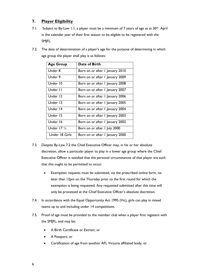# <span id="page-5-0"></span>**7. Player Eligibility**

- 7.1. Subject to By-Law [1.1,](#page-3-2) a player must be a minimum of 7 years of age as at 30<sup>th</sup> April in the calendar year of their first season to be eligible to be registered with the SMJFL.
- <span id="page-5-1"></span>7.2. The date of determination of a player's age for the purpose of determining in which age group the player shall play is as follows:

| <b>Age Group</b>       | Date of Birth                   |
|------------------------|---------------------------------|
| Under 8                | Born on or after I January 2010 |
| Under 9                | Born on or after I January 2009 |
| Under 10               | Born on or after I January 2008 |
| Under II               | Born on or after 1 January 2007 |
| Under 12               | Born on or after I January 2006 |
| Under 13               | Born on or after I January 2005 |
| Under 14               | Born on or after I January 2004 |
| Under 15               | Born on or after I January 2003 |
| Under 16               | Born on or after 1 January 2002 |
| Under 17 $\frac{1}{2}$ | Born on or after 1 July 2000    |
| Under 18 Girls         | Born on or after I January 2000 |

- <span id="page-5-2"></span>7.3. Despite By-Law [7.2](#page-5-1) the Chief Executive Officer may, in his or her absolute discretion, allow a particular player to play in a lower age group where the Chief Executive Officer is satisfied that the personal circumstances of that player are such that this ought to be permitted to occur.
	- Exemption requests must be submitted, via the prescribed online form, no later than 12pm on the Thursday prior to the first round for which the exemption is being requested. Any requested submitted after this time will only be processed at the Chief Executive Officer's absolute discretion.
- 7.4. In accordance with the Equal Opportunity Act 1995 (Vic), girls can play in mixed teams up to and including under 14 competitions.
- 7.5. Proof of age must be provided to the member club when a player first registers with the SMJFL, and may be:
	- A Birth Certificate or Extract; or
	- A Passport; or
	- Certification of age from another AFL Victoria affiliated body; or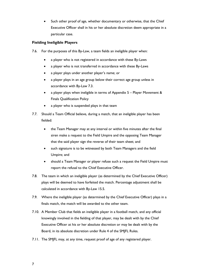Such other proof of age, whether documentary or otherwise, that the Chief Executive Officer shall in his or her absolute discretion deem appropriate in a particular case.

# **Fielding Ineligible Players**

- 7.6. For the purposes of this By-Law, a team fields an ineligible player when:
	- a player who is not registered in accordance with these By-Laws
	- a player who is not transferred in accordance with these By-Laws
	- a player plays under another player's name; or
	- a player plays in an age group below their correct age group unless in accordance with By-Law [7.3.](#page-5-2)
	- a player plays when ineligible in terms of Appendix 5 [Player Movement](#page-56-0) & [Finals Qualification](#page-56-0) Policy
	- a player who is suspended plays in that team
- 7.7. Should a Team Official believe, during a match, that an ineligible player has been fielded:
	- the Team Manager may at any interval or within five minutes after the final siren make a request to the Field Umpire and the opposing Team Manager that the said player sign the reverse of their team sheet; and
	- such signature is to be witnessed by both Team Managers and the field Umpire; and
	- should a Team Manager or player refuse such a request the Field Umpire must report the refusal to the Chief Executive Officer.
- 7.8. The team in which an ineligible player (as determined by the Chief Executive Officer) plays will be deemed to have forfeited the match. Percentage adjustment shall be calculated in accordance with By-Law [15.5.](#page-18-2)
- 7.9. Where the ineligible player (as determined by the Chief Executive Officer) plays in a finals match, the match will be awarded to the other team.
- 7.10. A Member Club that fields an ineligible player in a football match, and any official knowingly involved in the fielding of that player, may be dealt with by the Chief Executive Officer at his or her absolute discretion or may be dealt with by the Board, in its absolute discretion under Rule 4 of the SMJFL Rules.
- 7.11. The SMJFL may, at any time, request proof of age of any registered player.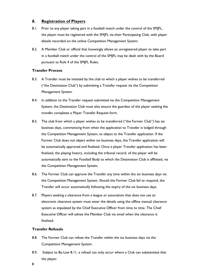# <span id="page-7-0"></span>**8. Registration of Players**

- 8.1. Prior to any player taking part in a football match under the control of the SM|FL, the player must be registered with the SMJFL via their Participating Club, with player details recorded on the online Competition Management System.
- 8.2. A Member Club or official that knowingly allows an unregistered player to take part in a football match under the control of the SMJFL may be dealt with by the Board pursuant to Rule 4 of the SMJFL Rules.

## **Transfer Process**

- 8.3. A Transfer must be initiated by the club to which a player wishes to be transferred ("the Destination Club") by submitting a Transfer request via the Competition Management System.
- 8.4. In addition to the Transfer request submitted via the Competition Management System, the Destination Club must also ensure the guardian of the player seeking the transfer completes a Player Transfer Request form.
- 8.5. The club from which a player wishes to be transferred ("the Former Club") has six business days, commencing from when the application to Transfer is lodged through the Competition Management System, to object to the Transfer application. If the Former Club does not object within six business days, the Transfer application will be automatically approved and finalised. Once a player Transfer application has been finalised, the playing history, including the tribunal record, of the player will be automatically sent to the Football Body to which the Destination Club is affiliated, via the Competition Management System.
- 8.6. The Former Club can approve the Transfer any time within the six business days via the Competition Management System. Should the Former Club fail to respond, the Transfer will occur automatically following the expiry of the six business days.
- 8.7. Players seeking a clearance from a league or association that does not use an electronic clearance system must enter the details using the offline manual clearance system as stipulated by the Chief Executive Officer from time to time. The Chief Executive Officer will advise the Member Club via email when the clearance is finalised.

# **Transfer Refusals**

- 8.8. The Former Club can refuse the Transfer within the six business days via the Competition Management System.
- 8.9. Subject to By-Law [8.11,](#page-8-0) a refusal can only occur where a Club can substantiate that the player:
- 8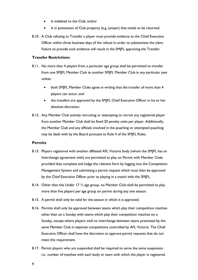- Is indebted to the Club; and/or
- Is in possession of Club property (e.g. jumper) that needs to be returned.
- 8.10. A Club refusing to Transfer a player must provide evidence to the Chief Executive Officer within three business days of the refusal in order to substantiate the claim. Failure to provide such evidence will result in the SMJFL approving the Transfer.

## **Transfer Restrictions**

- <span id="page-8-0"></span>8.11. No more than 4 players from a particular age group shall be permitted to transfer from one SMJFL Member Club to another SMJFL Member Club in any particular year unless:
	- both SMJFL Member Clubs agree in writing that the transfer of more than 4 players can occur; and
	- the transfers are approved by the SMJFL Chief Executive Officer in his or her absolute discretion.
- 8.12. Any Member Club actively recruiting or attempting to recruit any registered player from another Member Club shall be fined 20 penalty units per player. Additionally, the Member Club and any officials involved in the poaching or attempted poaching may be dealt with by the Board pursuant to Rule 4 of the SMJFL Rules.

## **Permits**

- 8.13. Players registered with another affiliated AFL Victoria body (whom the SMJFL has an Interchange agreement with) are permitted to play on Permit with Member Clubs provided they complete and lodge the relevant form by logging into the Competition Management System and submitting a permit request which must then be approved by the Chief Executive Officer prior to playing in a match with the SMJFL.
- 8.14. Other than the Under 17 ½ age group, no Member Club shall be permitted to play more than five players per age group on permit during any one season.
- 8.15. A permit shall only be valid for the season in which it is approved.
- 8.16. Permits shall only be approved between teams which play their competition matches other than on a Sunday with teams which play their competition matches on a Sunday, except where players wish to interchange between teams promoted by the same Member Club in separate competitions controlled by AFL Victoria. The Chief Executive Officer shall have the discretion to approve permit requests that do not meet this requirement.
- 8.17. Permit players who are suspended shall be required to serve the same suspension i.e.: number of matches with each body or team with which the player is registered.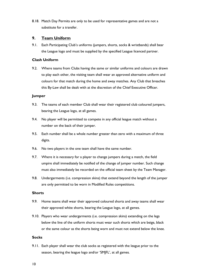8.18. Match Day Permits are only to be used for representative games and are not a substitute for a transfer.

# <span id="page-9-0"></span>**9. Team Uniform**

9.1. Each Participating Club's uniforms (jumpers, shorts, socks & wristbands) shall bear the League logo and must be supplied by the specified League licenced partner.

## **Clash Uniform**

9.2. Where teams from Clubs having the same or similar uniforms and colours are drawn to play each other, the visiting team shall wear an approved alternative uniform and colours for that match during the home and away matches. Any Club that breaches this By-Law shall be dealt with at the discretion of the Chief Executive Officer.

## **Jumper**

- 9.3. The teams of each member Club shall wear their registered club coloured jumpers, bearing the League logo, at all games.
- 9.4. No player will be permitted to compete in any official league match without a number on the back of their jumper.
- 9.5. Each number shall be a whole number greater than zero with a maximum of three digits.
- 9.6. No two players in the one team shall have the same number.
- 9.7. Where it is necessary for a player to change jumpers during a match, the field umpire shall immediately be notified of the change of jumper number. Such change must also immediately be recorded on the official team sheet by the Team Manager.
- 9.8. Undergarments (i.e. compression skins) that extend beyond the length of the jumper are only permitted to be worn in Modified Rules competitions.

## **Shorts**

- 9.9. Home teams shall wear their approved coloured shorts and away teams shall wear their approved white shorts, bearing the League logo, at all games.
- 9.10. Players who wear undergarments (i.e. compression skins) extending on the legs below the line of the uniform shorts must wear such shorts which are beige, black or the same colour as the shorts being worn and must not extend below the knee.

## **Socks**

9.11. Each player shall wear the club socks as registered with the league prior to the season, bearing the league logo and/or 'SMJFL', at all games.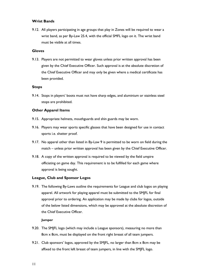## **Wrist Bands**

9.12. All players participating in age groups that play in Zones will be required to wear a wrist band, as per By-Law [25.4,](#page-30-1) with the official SMFL logo on it. The wrist band must be visible at all times.

### **Gloves**

9.13. Players are not permitted to wear gloves unless prior written approval has been given by the Chief Executive Officer. Such approval is at the absolute discretion of the Chief Executive Officer and may only be given where a medical certificate has been provided.

#### **Stops**

9.14. Stops in players' boots must not have sharp edges, and aluminium or stainless steel stops are prohibited.

## **Other Apparel Items**

- 9.15. Appropriate helmets, mouthguards and shin guards may be worn.
- 9.16. Players may wear sports specific glasses that have been designed for use in contact sports i.e. shatter proof.
- 9.17. No apparel other than listed in By-Law [9](#page-9-0) is permitted to be worn on field during the match – unless prior written approval has been given by the Chief Executive Officer.
- 9.18. A copy of the written approval is required to be viewed by the field umpire officiating on game day. This requirement is to be fulfilled for each game where approval is being sought.

#### **League, Club and Sponsor Logos**

9.19. The following By-Laws outline the requirements for League and club logos on playing apparel. All artwork for playing apparel must be submitted to the SMJFL for final approval prior to ordering. An application may be made by clubs for logos, outside of the below listed dimensions, which may be approved at the absolute discretion of the Chief Executive Officer.

#### **Jumper**

- 9.20. The SMJFL logo (which may include a League sponsors), measuring no more than 8cm x 8cm, must be displayed on the front right breast of all team jumpers.
- 9.21. Club sponsors' logos, approved by the SM|FL, no larger than 8cm x 8cm may be affixed to the front left breast of team jumpers, in line with the SMJFL logo.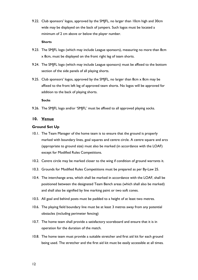9.22. Club sponsors' logos, approved by the SMJFL, no larger than 10cm high and 30cm wide may be displayed on the back of jumpers. Such logos must be located a minimum of 2 cm above or below the player number.

## **Shorts**

- 9.23. The SMJFL logo (which may include League sponsors), measuring no more than 8cm x 8cm, must be displayed on the front right leg of team shorts.
- 9.24. The SMJFL logo (which may include League sponsors) must be affixed to the bottom section of the side panels of all playing shorts.
- 9.25. Club sponsors' logos, approved by the SMJFL, no larger than 8cm x 8cm may be affixed to the front left leg of approved team shorts. No logos will be approved for addition to the back of playing shorts.

## **Socks**

9.26. The SMJFL logo and/or 'SMJFL' must be affixed to all approved playing socks.

# <span id="page-11-0"></span>**10. Venue**

## **Ground Set Up**

- 10.1. The Team Manager of the home team is to ensure that the ground is properly marked with boundary lines, goal squares and centre circle. A centre square and arcs (appropriate to ground size) must also be marked (in accordance with the LOAF) except for Modified Rules Competitions.
- 10.2. Centre circle may be marked closer to the wing if condition of ground warrants it.
- 10.3. Grounds for Modified Rules Competitions must be prepared as per By-Law [25.](#page-30-0)
- 10.4. The interchange area, which shall be marked in accordance with the LOAF, shall be positioned between the designated Team Bench areas (which shall also be marked) and shall also be signified by line marking paint or two soft cones.
- 10.5. All goal and behind posts must be padded to a height of at least two metres.
- 10.6. The playing field boundary line must be at least 3 metres away from any potential obstacles (including perimeter fencing)
- 10.7. The home team shall provide a satisfactory scoreboard and ensure that it is in operation for the duration of the match.
- 10.8. The home team must provide a suitable stretcher and first aid kit for each ground being used. The stretcher and the first aid kit must be easily accessible at all times.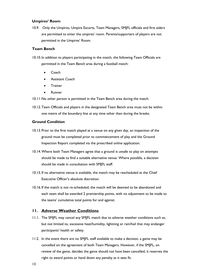## **Umpires' Room**

10.9. Only the Umpires, Umpire Escorts, Team Managers, SMJFL officials and first aiders are permitted to enter the umpires' room. Parents/supporters of players are not permitted in the Umpires' Room.

### **Team Bench**

- 10.10. In addition to players participating in the match, the following Team Officials are permitted in the Team Bench area during a football match:
	- Coach
	- Assistant Coach
	- **Trainer**
	- Runner
- 10.11.No other person is permitted in the Team Bench area during the match.
- 10.12.Team Officials and players in the designated Team Bench area must not be within one metre of the boundary line at any time other than during the breaks.

## **Ground Condition**

- 10.13.Prior to the first match played at a venue on any given day, an inspection of the ground must be completed prior to commencement of play and the Ground Inspection Report completed via the prescribed online application.
- 10.14.Where both Team Managers agree that a ground is unsafe to play on attempts should be made to find a suitable alternative venue. Where possible, a decision should be made in consultation with SMJFL staff.
- 10.15. If no alternative venue is available, the match may be rescheduled at the Chief Executive Officer's absolute discretion.
- 10.16. If the match is not re-scheduled, the match will be deemed to be abandoned and each team shall be awarded 2 premiership points, with no adjustment to be made to the teams' cumulative total points for and against.

# <span id="page-12-0"></span>**11. Adverse Weather Conditions**

- 11.1. The SMJFL may cancel any SMJFL match due to adverse weather conditions such as, but not limited to, excessive heat/humidity, lightning or rain/hail that may endanger participants' health or safety.
- 11.2. In the event there are no SMJFL staff available to make a decision, a game may be cancelled on the agreement of both Team Managers. However, if the SMJFL, on review of the game, decides the game should not have been cancelled, it reserves the right to award points or hand down any penalty as it sees fit.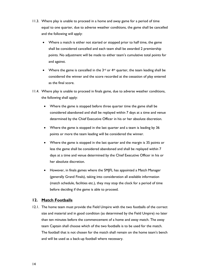- 11.3. Where play is unable to proceed in a home and away game for a period of time equal to one quarter, due to adverse weather conditions, the game shall be cancelled and the following will apply:
	- Where a match is either not started or stopped prior to half time, the game shall be considered cancelled and each team shall be awarded 2 premiership points. No adjustment will be made to either team's cumulative total points for and against.
	- Where the game is cancelled in the  $3^{rd}$  or  $4^{th}$  quarter, the team leading shall be considered the winner and the score recorded at the cessation of play entered as the final score.
- 11.4. Where play is unable to proceed in finals game, due to adverse weather conditions, the following shall apply:
	- Where the game is stopped before three quarter time the game shall be considered abandoned and shall be replayed within 7 days at a time and venue determined by the Chief Executive Officer in his or her absolute discretion.
	- Where the game is stopped in the last quarter and a team is leading by 36 points or more the team leading will be considered the winner.
	- Where the game is stopped in the last quarter and the margin is 35 points or less the game shall be considered abandoned and shall be replayed within 7 days at a time and venue determined by the Chief Executive Officer in his or her absolute discretion.
	- However, in finals games where the SMJFL has appointed a Match Manager (generally Grand Finals), taking into consideration all available information (match schedule, facilities etc.), they may stop the clock for a period of time before deciding if the game is able to proceed.

# <span id="page-13-0"></span>**12. Match Footballs**

12.1. The home team must provide the Field Umpire with the two footballs of the correct size and material and in good condition (as determined by the Field Umpire) no later than ten minutes before the commencement of a home and away match. The away team Captain shall choose which of the two footballs is to be used for the match. The football that is not chosen for the match shall remain on the home team's bench and will be used as a back-up football where necessary.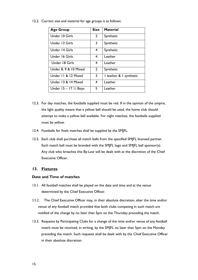12.2. Correct size and material for age groups is as follows:

| <b>Age Group</b>                   | <b>Size</b>             | <b>Material</b>         |
|------------------------------------|-------------------------|-------------------------|
| Under 10 Girls                     | $\overline{2}$          | Synthetic               |
| Under 12 Girls                     | $\overline{\mathbf{3}}$ | Synthetic               |
| Under 14 Girls                     | 4                       | Synthetic               |
| Under 16 Girls                     | 4                       | Leather                 |
| Under 18 Girls                     | 4                       | Leather                 |
| Under 8, 9 & 10 Mixed              | $\overline{2}$          | Synthetic               |
| Under 11 & 12 Mixed                | 3                       | I leather & I synthetic |
| Under 13 & 14 Mixed                | 4                       | Leather                 |
| Under $15 - 17$ $\frac{1}{2}$ Boys | 5                       | Leather                 |

- 12.3. For day matches, the footballs supplied must be red. If in the opinion of the umpire, the light quality means that a yellow ball should be used, the home club should attempt to make a yellow ball available. For night matches, the footballs supplied must be yellow.
- 12.4. Footballs for finals matches shall be supplied by the SMJFL.
- 12.5. Each club shall purchase all match balls from the specified SMJFL licensed partner. Each match ball must be branded with the SMJFL logo and SMJFL ball sponsor(s). Any club who breaches this By-Law will be dealt with at the discretion of the Chief Executive Officer.

# <span id="page-14-0"></span>**13. Fixtures**

# **Date and Time of matches**

- 13.1. All football matches shall be played on the date and time and at the venue determined by the Chief Executive Officer.
- <span id="page-14-1"></span>13.2. The Chief Executive Officer may, in their absolute discretion, alter the time and/or venue of any football match provided that both clubs competing in such match are notified of the change by no later than 5pm on the Thursday preceding the match.
- <span id="page-14-2"></span>13.3. Requests by Participating Clubs for a change of the time and/or venue of any football match must be received, in writing, by the SMJFL no later than 5pm on the Monday preceding the match. Such requests shall be dealt with by the Chief Executive Officer in their absolute discretion.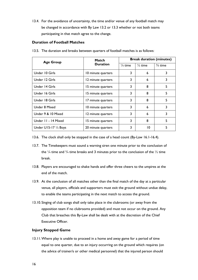13.4. For the avoidance of uncertainty, the time and/or venue of any football match may be changed in accordance with By Law [13.2](#page-14-1) or [13.3](#page-14-2) whether or not both teams participating in that match agree to the change.

# **Duration of Football Matches**

| <b>Age Group</b>      | Match              | <b>Break duration (minutes)</b> |                    |                    |
|-----------------------|--------------------|---------------------------------|--------------------|--------------------|
|                       | <b>Duration</b>    | $\frac{1}{4}$ time              | $\frac{1}{2}$ time | $\frac{3}{4}$ time |
| Under 10 Girls        | 10 minute quarters | 3                               | 6                  | 3                  |
| Under 12 Girls        | 12 minute quarters | 3                               | 6                  | 3                  |
| Under 14 Girls        | 15 minute quarters | 3                               | 8                  | 5                  |
| Under 16 Girls        | 15 minute quarters | 3                               | 8                  | 5                  |
| Under 18 Girls        | 17 minute quarters | 3                               | 8                  | 5                  |
| Under 8 Mixed         | 10 minute quarters | 3                               | 6                  | 3                  |
| Under 9 & 10 Mixed    | 12 minute quarters | 3                               | 6                  |                    |
| Under 11 - 14 Mixed   | 15 minute quarters | 3                               | 8                  | 5                  |
| Under U15-17 1/2 Boys | 20 minute quarters | 3                               | 10                 | 5                  |

13.5. The duration and breaks between quarters of football matches is as follows:

13.6. The clock shall only be stopped in the case of a head count (By-Law [16.1](#page-18-3)[-16.4\)](#page-19-3).

- 13.7. The Timekeepers must sound a warning siren one minute prior to the conclusion of the  $\frac{1}{4}$  time and  $\frac{3}{4}$  time breaks and 3 minutes prior to the conclusion of the  $\frac{1}{2}$  time break.
- 13.8. Players are encouraged to shake hands and offer three cheers to the umpires at the end of the match.
- 13.9. At the conclusion of all matches other than the final match of the day at a particular venue, all players, officials and supporters must exit the ground without undue delay, to enable the teams participating in the next match to access the ground.
- 13.10. Singing of club songs shall only take place in the clubrooms (or away from the opposition team if no clubrooms provided) and must not occur on the ground. Any Club that breaches this By-Law shall be dealt with at the discretion of the Chief Executive Officer.

# **Injury Stopped Game**

13.11.Where play is unable to proceed in a home and away game for a period of time equal to one quarter, due to an injury occurring on the ground which requires (on the advice of trainer/s or other medical personnel) that the injured person should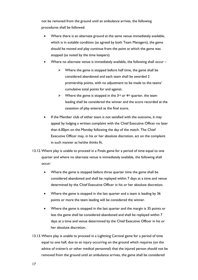not be removed from the ground until an ambulance arrives, the following procedures shall be followed:

- Where there is an alternate ground at the same venue immediately available, which is in suitable condition (as agreed by both Team Managers), the game should be moved and play continue from the point at which the game was stopped (as noted by the time keepers).
- Where no alternate venue is immediately available, the following shall occur
	- $\triangleright$  Where the game is stopped before half time, the game shall be considered abandoned and each team shall be awarded 2 premiership points, with no adjustment to be made to the teams' cumulative total points for and against.
	- $\triangleright$  Where the game is stopped in the 3<sup>rd</sup> or 4<sup>th</sup> quarter, the team leading shall be considered the winner and the score recorded at the cessation of play entered as the final score.
- If the Member club of either team is not satisfied with the outcome, it may appeal by lodging a written complaint with the Chief Executive Officer no later than 6.00pm on the Monday following the day of the match. The Chief Executive Officer may, in his or her absolute discretion, act on the complaint in such manner as he/she thinks fit.
- 13.12.Where play is unable to proceed in a Finals game for a period of time equal to one quarter and where no alternate venue is immediately available, the following shall occur:
	- Where the game is stopped before three quarter time the game shall be considered abandoned and shall be replayed within 7 days at a time and venue determined by the Chief Executive Officer in his or her absolute discretion.
	- Where the game is stopped in the last quarter and a team is leading by 36 points or more the team leading will be considered the winner.
	- Where the game is stopped in the last quarter and the margin is 35 points or less the game shall be considered abandoned and shall be replayed within 7 days at a time and venue determined by the Chief Executive Officer in his or her absolute discretion.
- 13.13.Where play is unable to proceed in a Lightning Carnival game for a period of time equal to one half, due to an injury occurring on the ground which requires (on the advice of trainer/s or other medical personnel) that the injured person should not be removed from the ground until an ambulance arrives, the game shall be considered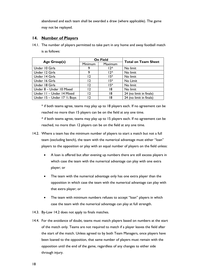abandoned and each team shall be awarded a draw (where applicable). The game may not be replayed.

# <span id="page-17-0"></span>**14. Number of Players**

<span id="page-17-2"></span>14.1. The number of players permitted to take part in any home and away football match is as follows:

|                                          | <b>On Field</b> |         | <b>Total on Team Sheet</b> |
|------------------------------------------|-----------------|---------|----------------------------|
| <b>Age Group(s)</b>                      | <b>Minimum</b>  | Maximum |                            |
| Under 10 Girls                           | 9               | 17^     | No limit                   |
| Under 12 Girls                           | 9               | 17^     | No limit                   |
| Under 14 Girls                           | 12              | $15*$   | No limit                   |
| Under 16 Girls                           | 12              | $15*$   | No Limit                   |
| Under 18 Girls                           | 12              | $15*$   | No limit                   |
| Under 8 - Under 10 Mixed                 | 12              | 18      | No limit                   |
| Under II - Under 14 Mixed                | 12              | 18      | 24 (no limit in finals)    |
| Under $15 -$ Under $17 \frac{1}{2}$ Boys | 17              | 18      | 24 (no limit in finals)    |

\* if both teams agree, teams may play up to 18 players each. If no agreement can be reached no more than 15 players can be on the field at any one time. ^ if both teams agree, teams may play up to 15 players each. If no agreement can be reached, no more than 12 players can be on the field at any one time.

- <span id="page-17-1"></span>14.2. Where a team has the minimum number of players to start a match but not a full team (excluding bench), the team with the numerical advantage must either "loan" players to the opposition or play with an equal number of players on the field unless:
	- A loan is offered but after evening up numbers there are still excess players in which case the team with the numerical advantage can play with one extra player; or
	- The team with the numerical advantage only has one extra player than the opposition in which case the team with the numerical advantage can play with that extra player; or
	- The team with minimum numbers refuses to accept "loan" players in which case the team with the numerical advantage can play at full strength.
- 14.3. By-Law [14.2](#page-17-1) does not apply to finals matches.
- 14.4. For the avoidance of doubt, teams must match players based on numbers at the start of the match only. Teams are not required to match if a player leaves the field after the start of the match. Unless agreed to by both Team Managers, once players have been loaned to the opposition, that same number of players must remain with the opposition until the end of the game, regardless of any changes to either side through injury.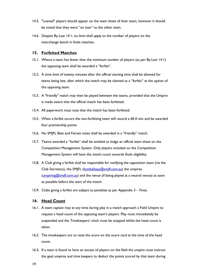- 14.5. "Loaned" players should appear on the team sheet of their team, however it should be noted that they were "on loan" to the other team.
- 14.6. Despite By-Law [14.1,](#page-17-2) no limit shall apply to the number of players on the interchange bench in finals matches.

## <span id="page-18-0"></span>**15. Forfeited Matches**

- 15.1. Where a team has fewer than the minimum number of players (as per By-Law [14.1\)](#page-17-2) the opposing team shall be awarded a "forfeit".
- 15.2. A time limit of twenty minutes after the official starting time shall be allowed for teams being late, after which the match may be claimed as a "forfeit" at the option of the opposing team.
- 15.3. A "friendly" match may then be played between the teams, provided that the Umpire is made aware that the official match has been forfeited.
- 15.4. All paperwork must note that the match has been forfeited.
- <span id="page-18-2"></span>15.5. When a forfeit occurs the non-forfeiting team will record a 60-0 win and be awarded four premiership points.
- 15.6. No SMJFL Best and Fairest votes shall be awarded in a "friendly" match.
- 15.7. Teams awarded a "forfeit" shall be entitled to lodge an official team sheet on the Competition Management System. Only players included on the Competition Management System will have the match count towards finals eligibility.
- 15.8. A Club giving a forfeit shall be responsible for notifying the opposition team (via the Club Secretary), the SMIFL (footballops@smifl.com.au) the umpires [\(umpiring@smjfl.com.au\)](mailto:umpiring@smjfl.com.au) and the venue (if being played at a neutral venue) as soon as possible before the start of the match.
- 15.9. Clubs giving a forfeit are subject to penalties as per [Appendix 3](#page-53-0)  Fines.

## <span id="page-18-1"></span>**16. Head Count**

- <span id="page-18-3"></span>16.1. A team captain may at any time during play in a match approach a Field Umpire to request a head count of the opposing team's players. Play must immediately be suspended and the Timekeepers' clock must be stopped whilst the head count is taken.
- 16.2. The timekeepers are to note the score on the score card at the time of the head count.
- 16.3. If a team is found to have an excess of players on the field the umpire must instruct the goal umpires and time keepers to deduct the points scored by that team during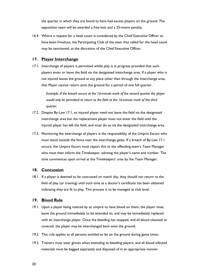the quarter in which they are found to have had excess players on the ground. The opposition team will be awarded a free kick and a 25-metre penalty.

<span id="page-19-3"></span>16.4. Where a request for a head count is considered by the Chief Executive Officer to have been frivolous, the Participating Club of the team that called for the head count may be sanctioned, at the discretion of the Chief Executive Officer.

# <span id="page-19-0"></span>**17. Player Interchange**

<span id="page-19-4"></span>17.1. Interchange of players is permitted whilst play is in progress provided that such players enter or leave the field via the designated interchange area. If a player who is not injured leaves the ground at any place other than through the Interchange area, that Player cannot return onto the ground for a period of one full quarter.

> *Example: if the breach occurs at the 16-minute mark of the second quarter the player would only be permitted to return to the field at the 16-minute mark of the third quarter.*

- 17.2. Despite By-Law [17.1,](#page-19-4) an injured player need not leave the field via the designated interchange area but the replacement player must not enter the field until the injured player has left the field, and must do so via the designated interchange area.
- 17.3. Monitoring the interchange of players is the responsibility of the Umpire Escort who must stand outside the fence near the interchange gates. If a breach of By-Law [17.1](#page-19-4) occurs, the Umpire Escort must report this to the offending team's Team Manager who must then inform the Timekeeper, advising the player's name and number. The time commences upon arrival at the Timekeepers' area by the Team Manager.

# <span id="page-19-1"></span>**18. Concussion**

18.1. If a player is deemed to be concussed on match day, they should not return to the field of play (or training) until such time as a doctor's certificate has been obtained indicating they are fit to play. This process is to be managed at club level.

# <span id="page-19-2"></span>**19. Blood Rule**

- 19.1. Upon a player being noticed by an umpire to have blood on them, the player must leave the ground immediately to be attended to; and may be immediately replaced with an interchange player. Once the bleeding has stopped, and all blood cleansed or covered, the player may be interchanged back onto the ground.
- 19.2. This rule applies to all persons entitled to be on the ground during game times.
- 19.3. Trainers must wear gloves when attending to bleeding players, and all blood infected materials must be bagged separately and disposed of in an appropriate manner.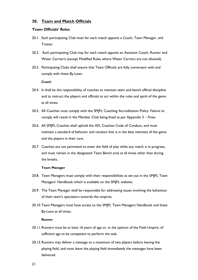# <span id="page-20-0"></span>**20. Team and Match Officials**

## **Team Officials' Roles**

- 20.1. Each participating Club must for each match appoint a Coach, Team Manager, and Trainer.
- 20.2. Each participating Club may for each match appoint an Assistant Coach, Runner and Water Carrier/s (except Modified Rules where Water Carriers are not allowed).
- 20.3. Participating Clubs shall ensure that Team Officials are fully conversant with and comply with these By-Laws.

#### **Coach**

- 20.4. It shall be the responsibility of coaches to maintain team and bench official discipline and to instruct the players and officials to act within the rules and spirit of the game at all times.
- 20.5. All Coaches must comply with the SMJFL Coaching Accreditation Policy. Failure to comply will result in the Member Club being fined as per [Appendix 3](#page-53-0) – Fines.
- 20.6. All SMJFL Coaches shall uphold the AFL Coaches Code of Conduct, and must maintain a standard of behavior and conduct that is in the best interests of the game and the players in their care.
- 20.7. Coaches are not permitted to enter the field of play while any match is in progress, and must remain in the designated Team Bench area at all times other than during the breaks.

#### **Team Manager**

- 20.8. Team Managers must comply with their responsibilities as set out in the SMJFL Team Managers' Handbook which is available on the SMJFL website.
- 20.9. The Team Manager shall be responsible for addressing issues involving the behaviour of their team's spectators towards the umpires.
- 20.10.Team Managers must have access to the SMJFL Team Managers Handbook and these By-Laws at all times.

#### **Runner**

- 20.11.Runners must be at least 16 years of age or, in the opinion of the Field Umpire, of sufficient age to be competent to perform the task.
- 20.12.Runners may deliver a message to a maximum of two players before leaving the playing field, and must leave the playing field immediately the messages have been delivered.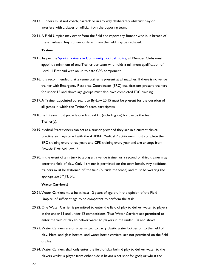- 20.13.Runners must not coach, barrack or in any way deliberately obstruct play or interfere with a player or official from the opposing team.
- 20.14.A Field Umpire may order from the field and report any Runner who is in breach of these By-laws. Any Runner ordered from the field may be replaced.

#### **Trainer**

- <span id="page-21-0"></span>20.15. As per the [Sports Trainers in Community Football Policy,](http://aflvic.com.au/wp-content/uploads/2013/08/AFL_Trainers_Policy.pdf) all Member Clubs must appoint a minimum of one Trainer per team who holds a minimum qualification of Level 1 First Aid with an up to date CPR component.
- 20.16. It is recommended that a venue trainer is present at all matches. If there is no venue trainer with Emergency Response Coordinator (ERC) qualifications present, trainers for under 13 and above age groups must also have completed ERC training.
- 20.17.A Trainer appointed pursuant to By-Law [20.15](#page-21-0) must be present for the duration of all games in which the Trainer's team participates.
- 20.18. Each team must provide one first aid kit (including ice) for use by the team Trainer(s).
- 20.19.Medical Practitioners can act as a trainer provided they are in a current clinical practice and registered with the AHPRA. Medical Practitioners must complete the ERC training every three years and CPR training every year and are exempt from Provide First Aid Level 2.
- 20.20. In the event of an injury to a player, a venue trainer or a second or third trainer may enter the field of play. Only 1 trainer is permitted on the team bench. Any additional trainers must be stationed off the field (outside the fence) and must be wearing the appropriate SMJFL bib.

#### **Water Carrier(s)**

- 20.21.Water Carriers must be at least 12 years of age or, in the opinion of the Field Umpire, of sufficient age to be competent to perform the task.
- 20.22.One Water Carrier is permitted to enter the field of play to deliver water to players in the under 11 and under 12 competitions. Two Water Carriers are permitted to enter the field of play to deliver water to players in the under 13s and above.
- 20.23.Water Carriers are only permitted to carry plastic water bottles on to the field of play. Metal and glass bottles, and water bottle carriers, are not permitted on the field of play.
- 20.24.Water Carriers shall only enter the field of play behind play to deliver water to the players whilst: a player from either side is having a set shot for goal; or whilst the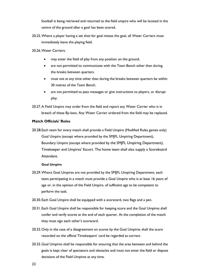football is being retrieved and returned to the field umpire who will be located in the centre of the ground after a goal has been scored.

- 20.25.Where a player having a set shot for goal misses the goal, all Water Carriers must immediately leave the playing field.
- 20.26.Water Carriers:
	- may enter the field of play from any position on the ground.
	- are not permitted to communicate with the Team Bench other than during the breaks between quarters.
	- must not at any time other than during the breaks between quarters be within 30 metres of the Team Bench.
	- are not permitted to pass messages or give instructions to players, or disrupt play.
- 20.27.A Field Umpire may order from the field and report any Water Carrier who is in breach of these By-laws. Any Water Carrier ordered from the field may be replaced.

## **Match Officials' Roles**

20.28.Each team for every match shall provide a Field Umpire (Modified Rules games only) Goal Umpire (except where provided by the SMJFL Umpiring Department), Boundary Umpire (except where provided by the SMJFL Umpiring Department), Timekeeper and Umpires' Escort. The home team shall also supply a Scoreboard Attendant.

#### **Goal Umpire**

- 20.29.Where Goal Umpires are not provided by the SMJFL Umpiring Department, each team participating in a match must provide a Goal Umpire who is at least 16 years of age or, in the opinion of the Field Umpire, of sufficient age to be competent to perform the task.
- 20.30. Each Goal Umpire shall be equipped with a scorecard, two flags and a pen.
- 20.31. Each Goal Umpire shall be responsible for keeping score and the Goal Umpires shall confer and verify scores at the end of each quarter. At the completion of the match they must sign each other's scorecard.
- 20.32.Only in the case of a disagreement on scores by the Goal Umpires shall the score recorded on the official Timekeepers' card be regarded as correct.
- 20.33.Goal Umpires shall be responsible for ensuring that the area between and behind the goals is kept clear of spectators and obstacles and must not enter the field or dispute decisions of the Field Umpires at any time.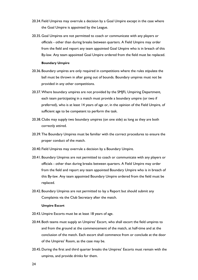- 20.34. Field Umpires may overrule a decision by a Goal Umpire except in the case where the Goal Umpire is appointed by the League.
- 20.35.Goal Umpires are not permitted to coach or communicate with any players or officials - other than during breaks between quarters. A Field Umpire may order from the field and report any team appointed Goal Umpire who is in breach of this By-law. Any team appointed Goal Umpire ordered from the field must be replaced.

#### **Boundary Umpire**

- 20.36.Boundary umpires are only required in competitions where the rules stipulate the ball must be thrown in after going out of bounds. Boundary umpires must not be provided in any other competitions.
- 20.37.Where boundary umpires are not provided by the SMJFL Umpiring Department, each team participating in a match must provide a boundary umpire (or two if preferred), who is at least 14 years of age or, in the opinion of the Field Umpire, of sufficient age to be competent to perform the task.
- 20.38.Clubs may supply two boundary umpires (on one side) as long as they are both correctly attired.
- 20.39.The Boundary Umpires must be familiar with the correct procedures to ensure the proper conduct of the match.
- 20.40. Field Umpires may overrule a decision by a Boundary Umpire.
- 20.41.Boundary Umpires are not permitted to coach or communicate with any players or officials - other than during breaks between quarters. A Field Umpire may order from the field and report any team appointed Boundary Umpire who is in breach of this By-law. Any team appointed Boundary Umpire ordered from the field must be replaced.
- 20.42.Boundary Umpires are not permitted to lay a Report but should submit any Complaints via the Club Secretary after the match.

## **Umpire Escort**

- 20.43.Umpire Escorts must be at least 18 years of age.
- 20.44.Both teams must supply an Umpires' Escort, who shall escort the field umpires to and from the ground at the commencement of the match, at half-time and at the conclusion of the match. Each escort shall commence from or conclude at the door of the Umpires' Room, as the case may be.
- 20.45.During the first and third quarter breaks the Umpires' Escorts must remain with the umpires, and provide drinks for them.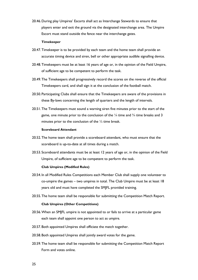20.46.During play Umpires' Escorts shall act as Interchange Stewards to ensure that players enter and exit the ground via the designated interchange area. The Umpire Escort must stand outside the fence near the interchange gates.

#### **Timekeeper**

- 20.47.Timekeeper is to be provided by each team and the home team shall provide an accurate timing device and siren, bell or other appropriate audible signalling device.
- 20.48.Timekeepers must be at least 16 years of age or, in the opinion of the Field Umpire, of sufficient age to be competent to perform the task.
- 20.49.The Timekeepers shall progressively record the scores on the reverse of the official Timekeepers card, and shall sign it at the conclusion of the football match.
- 20.50.Participating Clubs shall ensure that the Timekeepers are aware of the provisions in these By-laws concerning the length of quarters and the length of intervals.
- 20.51.The Timekeepers must sound a warning siren five minutes prior to the start of the game, one minute prior to the conclusion of the  $\frac{1}{4}$  time and  $\frac{3}{4}$  time breaks and 3 minutes prior to the conclusion of the  $\frac{1}{2}$  time break.

#### **Scoreboard Attendant**

- 20.52.The home team shall provide a scoreboard attendant, who must ensure that the scoreboard is up-to-date at all times during a match.
- 20.53. Scoreboard attendants must be at least 12 years of age or, in the opinion of the Field Umpire, of sufficient age to be competent to perform the task.

#### **Club Umpires (Modified Rules)**

- 20.54. In all Modified Rules Competitions each Member Club shall supply one volunteer to co-umpire the games – two umpires in total. The Club Umpire must be at least 18 years old and must have completed the SMJFL provided training.
- 20.55.The home team shall be responsible for submitting the Competition Match Report.

#### **Club Umpires (Other Competitions)**

- 20.56.When an SMJFL umpire is not appointed to or fails to arrive at a particular game each team shall appoint one person to act as umpire.
- 20.57.Both appointed Umpires shall officiate the match together.
- 20.58.Both appointed Umpires shall jointly award votes for the game.
- 20.59.The home team shall be responsible for submitting the Competition Match Report Form and votes online.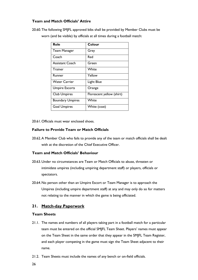# **Team and Match Officials' Attire**

20.60.The following SMJFL approved bibs shall be provided by Member Clubs must be worn (and be visible) by officials at all times during a football match:

| <b>Role</b>             | Colour                    |
|-------------------------|---------------------------|
| <b>Team Manager</b>     | Grey                      |
| Coach                   | Red                       |
| <b>Assistant Coach</b>  | Green                     |
| <b>Trainer</b>          | White                     |
| Runner                  | Yellow                    |
| <b>Water Carrier</b>    | Light Blue                |
| <b>Umpire Escorts</b>   | Orange                    |
| <b>Club Umpires</b>     | Florescent yellow (shirt) |
| <b>Boundary Umpires</b> | White                     |
| <b>Goal Umpires</b>     | White (coat)              |

20.61.Officials must wear enclosed shoes.

# **Failure to Provide Team or Match Officials**

20.62.A Member Club who fails to provide any of the team or match officials shall be dealt with at the discretion of the Chief Executive Officer.

# **Team and Match Officials' Behaviour**

- 20.63.Under no circumstances are Team or Match Officials to abuse, threaten or intimidate umpires (including umpiring department staff) or players, officials or spectators.
- 20.64.No person other than an Umpire Escort or Team Manager is to approach the Umpires (including umpire department staff) at any and may only do so for matters not relating to the manner in which the game is being officiated.

# <span id="page-25-0"></span>**21. Match-day Paperwork**

## **Team Sheets**

- 21.1. The names and numbers of all players taking part in a football match for a particular team must be entered on the official SMJFL Team Sheet. Players' names must appear on the Team Sheet in the same order that they appear in the SMJFL Team Register, and each player competing in the game must sign the Team Sheet adjacent to their name.
- 21.2. Team Sheets must include the names of any bench or on-field officials.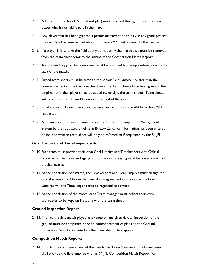- 21.3. A line and the letters DNP (did not play) must be ruled through the name of any player who is not taking part in the match.
- 21.4. Any player that has been granted a permit or exemption to play in any game (where they would otherwise be ineligible) must have a "P" written next to their name.
- 21.5. If a player fails to take the field at any point during the match they must be removed from the team sheet prior to the signing of the Competition Match Report.
- 21.6. An unsigned copy of the team sheet must be provided to the opposition prior to the start of the match.
- 21.7. Signed team sheets must be given to the senior Field Umpire no later than the commencement of the third quarter. Once the Team Sheets have been given to the umpire, no further players may be added to, or sign, the team sheets. Team sheets will be returned to Team Managers at the end of the game.
- 21.8. Hard copies of Team Sheets must be kept on file and made available to the SMJFL if requested.
- 21.9. All team sheet information must be entered into the Competition Management System by the stipulated timeline in By-Law [22.](#page-28-0) Once information has been entered online, the written team sheet will only be referred to if requested by the SMJFL.

## **Goal Umpire and Timekeeper cards**

- 21.10. Each team must provide their own Goal Umpire and Timekeepers with Official Scorecards. The name and age group of the teams playing must be placed on top of the Scorecards.
- 21.11.At the conclusion of a match, the Timekeepers and Goal Umpires must all sign the official scorecards. Only in the case of a disagreement on scores by the Goal Umpires will the Timekeeper cards be regarded as correct.
- 21.12.At the conclusion of the match, each Team Manager must collect their own scorecards to be kept on file along with the team sheet.

## **Ground Inspection Report**

21.13.Prior to the first match played at a venue on any given day, an inspection of the ground must be completed prior to commencement of play and the Ground Inspection Report completed via the prescribed online application.

### **Competition Match Reports**

21.14.Prior to the commencement of the match, the Team Manager of the home team shall provide the field umpires with an SMJFL Competition Match Report Form.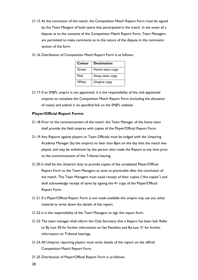- 21.15.At the conclusion of the match, the Competition Match Report Form must be signed by the Team Mangers of both teams that participated in the match. In the event of a dispute as to the contents of the Competition Match Report Form, Team Managers are permitted to make comments as to the nature of the dispute in the comments section of the form.
- 21.16.Distribution of Competition Match Report Form is as follows:

| Colour | <b>Destination</b> |
|--------|--------------------|
| Green  | Home team copy     |
| Pink   | Away team copy     |
| White  | Umpire copy        |

21.17. If an SMJFL umpire is not appointed, it is the responsibility of the club appointed umpires to complete the Competition Match Report Form (including the allocation of votes) and submit it via specified link on the SMJFL website.

# **Player/Official Report Forms**

- 21.18.Prior to the commencement of the match, the Team Manager of the home team shall provide the field umpires with copies of the Player/Official Report Form.
- 21.19.Any Reports against players or Team Officials must be lodged with the Umpiring Academy Manager (by the umpire) no later than 8pm on the day that the match was played, and may be withdrawn by the person who made the Report at any time prior to the commencement of the Tribunal hearing.
- 21.20. It shall be the Umpire's duty to provide copies of the completed Player/Official Report Form to the Team Managers as soon as practicable after the conclusion of the match. The Team Managers must await receipt of their copies ("the copies") and shall acknowledge receipt of same by signing the 4<sup>th</sup> copy of the Player/Official Report Form.
- 21.21. If a Player/Official Report Form is not made available the umpire may use any other material to write down the details of the report.
- 21.22. It is the responsibility of the Team Managers to sign the report form.
- 21.23.The team manager shall inform the Club Secretary that a Report has been laid. Refer to By Law [30](#page-37-0) for further information on Set Penalties and By-Law [31](#page-38-0) for further information on Tribunal hearings.
- 21.24.All Umpires reporting players must write details of the report on the official Competition Match Report Form.
- 21.25.Distribution of Player/Official Report Form is as follows: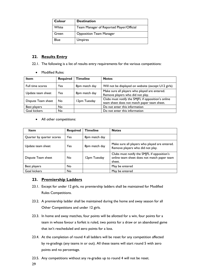| Colour | <b>Destination</b>                       |
|--------|------------------------------------------|
| White  | Team Manager of Reported Player/Official |
| Green  | <b>Opposition Team Manager</b>           |
| Blue   | <b>Umpires</b>                           |

# <span id="page-28-0"></span>**22. Results Entry**

- 22.1. The following is a list of results entry requirements for the various competitions:
	- Modified Rules:

| <b>Item</b>        | <b>Required</b> | <b>Timeline</b> | <b>Notes</b>                                                                                      |
|--------------------|-----------------|-----------------|---------------------------------------------------------------------------------------------------|
| Full time scores   | Yes             | 8pm match day   | Will not be displayed on website (except U12 girls)                                               |
| Update team sheet  | Yes             | 8pm match day   | Make sure all players who played are entered.<br>Remove players who did not play.                 |
| Dispute Team sheet | No.             | 12pm Tuesday    | Clubs must notify the SMJFL if opposition's online<br>team sheet does not match paper team sheet. |
| Best players       | No              |                 | Do not enter this information                                                                     |
| Goal kickers       | N <sub>o</sub>  |                 | Do not enter this information                                                                     |

• All other competitions:

| <b>Item</b>               | <b>Required</b> | <b>Timeline</b> | <b>Notes</b>                                                                                         |
|---------------------------|-----------------|-----------------|------------------------------------------------------------------------------------------------------|
| Quarter by quarter scores | Yes             | 8pm match day   |                                                                                                      |
| Update team sheet         | Yes             | 8pm match day   | Make sure all players who played are entered.<br>Remove players who did not play.                    |
| Dispute Team sheet        | No              | 12pm Tuesday    | Clubs must notify the SMJFL if opposition's<br>online team sheet does not match paper team<br>sheet. |
| Best players              | No              |                 | May be entered                                                                                       |
| Goal kickers              | No              |                 | May be entered                                                                                       |

# <span id="page-28-1"></span>**23. Premiership Ladders**

- 23.1. Except for under 12 girls, no premiership ladders shall be maintained for Modified Rules Competitions.
- 23.2. A premiership ladder shall be maintained during the home and away season for all Other Competitions and under 12 girls.
- 23.3. In home and away matches, four points will be allotted for a win, four points for a team in whose favour a forfeit is ruled, two points for a draw or an abandoned game that isn't rescheduled and zero points for a loss.
- <span id="page-28-2"></span>23.4. At the completion of round 4 all ladders will be reset for any competition affected by re-gradings (any teams in or out). All these teams will start round 5 with zero points and no percentage.
- 23.5. Any competitions without any re-grades up to round 4 will not be reset.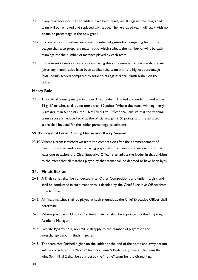- <span id="page-29-1"></span>23.6. If any re-grades occur after ladders have been reset, results against the re-graded team will be removed and replaced with a bye. The re-graded team will start with no points or percentage in the new grade.
- 23.7. In competitions involving an uneven number of games for competing teams, the League shall also prepare a match ratio which reflects the number of wins by each team against the number of matches played by each team.
- 23.8. In the event of more than one team having the same number of premiership points (after any match ratios have been applied) the team with the highest percentage (total points scored compared to total points against) shall finish higher on the ladder

## **Mercy Rule**

23.9. The official winning margin in under 11 to under 13 mixed and under 12 and under 14 girls' matches shall be no more than 60 points. Where the actual winning margin is greater than 60 points, the Chief Executive Officer shall ensure that the winning team's score is reduced so that the official margin is 60 points, and the adjusted score shall be used for the ladder percentage calculations.

#### **Withdrawal of team During Home and Away Season**

23.10.Where a team is withdrawn from the competition after the commencement of round 5 matches and prior to having played all other teams in their division on at least one occasion, the Chief Executive Officer shall adjust the ladder in that division to the effect that all matches played by that team shall be deemed to have been byes.

## <span id="page-29-0"></span>**24. Finals Series**

- 24.1. A finals series shall be conducted in all Other Competitions and under 12 girls and shall be conducted in such manner as is decided by the Chief Executive Officer from time to time.
- 24.2. All finals matches shall be played at such grounds as the Chief Executive Officer shall determine.
- 24.3. Where possible all Umpires for finals matches shall be appointed by the Umpiring Academy Manager.
- 24.4. Despite By-Law [14.1,](#page-17-2) no limit shall apply to the number of players on the interchange bench in finals matches.
- 24.5. The team that finished higher on the ladder at the end of the home and away season will be considered the "home" team for Semi & Preliminary Finals. The team that wins Semi Final 2 shall be considered the "home" team for the Grand Final.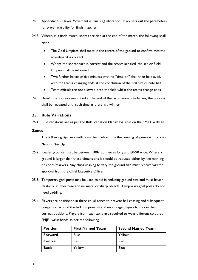- 24.6. Appendix 5 Player Movement [& Finals Qualification](#page-56-0) Policy sets out the parameters for player eligibility for finals matches.
- 24.7. Where, in a finals match, scores are tied at the end of the match, the following shall apply:
	- The Goal Umpires shall meet in the centre of the ground to confirm that the scoreboard is correct.
	- Where the scoreboard is correct and the scores are tied, the senior Field Umpire shall be informed.
	- Two further halves of five minutes with no "time on" shall then be played, with the teams changing ends at the conclusion of the first five-minute half.
	- Team officials are not allowed onto the field whilst the teams change ends.
- 24.8. Should the scores remain tied at the end of the two five-minute halves, the process shall be repeated until such time as there is a winner.

# <span id="page-30-0"></span>**25. Rule Variations**

25.1. Rule variations are as per the Rule Variation Matrix available on the SMJFL website.

# **Zones**

The following By-Laws outline matters relevant to the running of games with Zones. **Ground Set Up**

- 25.2. Ideally, grounds must be between 100-120 metres long and 80-90 wide. Where a ground is larger than these dimensions it should be reduced either by line marking or cones/markers. Any clubs wishing to vary the ground size must receive written approval from the Chief Executive Officer.
- 25.3. Temporary goal posts may be used to aid in reducing ground size and must have a plastic or rubber base and no metal or sharp objects. Temporary goal posts do not need padding.
- <span id="page-30-1"></span>25.4. Players are positioned in three equal zones to prevent ball chasing and subsequent congestion around the ball. Umpires should encourage players to stay in their correct positions. Players from each zone are required to wear different coloured SMJFL wrist bands as per the following:

| <b>Position</b> | <b>First Named Team</b> | <b>Second Named Team</b> |
|-----------------|-------------------------|--------------------------|
| Forward         | <b>Blue</b>             | Yellow                   |
| Centre          | Red                     | Red                      |
| <b>Back</b>     | Yellow                  | Blue                     |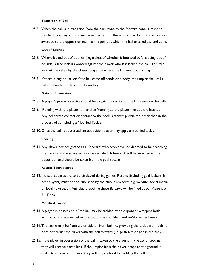#### **Transition of Ball**

25.5. When the ball is in transition from the back zone to the forward zone, it must be touched by a player in the mid zone. Failure for this to occur will result in a free kick awarded to the opposition team at the point at which the ball entered the end zone.

# **Out of Bounds**

- 25.6. Where kicked out of bounds (regardless of whether it bounced before being out of bounds) a free kick is awarded against the player who last kicked the ball. This free kick will be taken by the closest player to where the ball went out of play.
- 25.7. If there is any doubt, or if the ball came off hands or a body, the umpire shall call a ball-up 5 metres in from the boundary.

#### **Gaining Possession**

- 25.8. A player's prime objective should be to gain possession of the ball (eyes on the ball).
- 25.9. 'Running with' the player rather than 'running at' the player must be the intention. Any deliberate contact or contact to the back is strictly prohibited other than in the process of completing a Modified Tackle.
- 25.10.Once the ball is possessed, an opposition player may apply a modified tackle.

### **Scoring**

25.11.Any player not designated as a 'forward' who scores will be deemed to be breaching the zones and the score will not be awarded. A free kick will be awarded to the opposition and should be taken from the goal square.

## **Results/Scoreboards**

25.12.No scoreboards are to be displayed during games. Results (including goal kickers & best players) must not be published by the club in any form e.g. website, social media or local newspaper. Any club breaching these By-Laws will be fined as per Appendix 3 – Fines.

#### **Modified Tackle**

- 25.13.A player in possession of the ball may be tackled by an opponent wrapping both arms around the area below the top of the shoulders and on/above the knees.
- 25.14.The tackle may be from either side or from behind, providing the tackle from behind does not thrust the player with the ball forward (i.e. push him or her in the back).
- 25.15. If the player in possession of the ball is taken to the ground in the act of tackling, they will receive a free kick. If the umpire feels the player drops to the ground in order to receive a free kick, they will be penalised for holding the ball.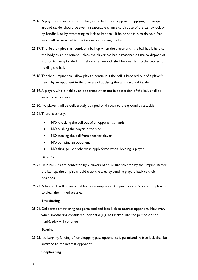- 25.16.A player in possession of the ball, when held by an opponent applying the wraparound tackle, should be given a reasonable chance to dispose of the ball by kick or by handball, or by attempting to kick or handball. If he or she fails to do so, a free kick shall be awarded to the tackler for holding the ball.
- 25.17.The field umpire shall conduct a ball-up when the player with the ball has it held to the body by an opponent, unless the player has had a reasonable time to dispose of it prior to being tackled. In that case, a free kick shall be awarded to the tackler for holding the ball.
- 25.18.The field umpire shall allow play to continue if the ball is knocked out of a player's hands by an opponent in the process of applying the wrap-around tackle.
- 25.19.A player, who is held by an opponent when not in possession of the ball, shall be awarded a free kick.
- 25.20.No player shall be deliberately dumped or thrown to the ground by a tackle.
- 25.21.There is strictly:
	- NO knocking the ball out of an opponent's hands
	- NO pushing the player in the side
	- NO stealing the ball from another player
	- NO bumping an opponent
	- NO sling, pull or otherwise apply force when 'holding' a player.

#### **Ball-ups**

- 25.22. Field ball-ups are contested by 2 players of equal size selected by the umpire. Before the ball-up, the umpire should clear the area by sending players back to their positions.
- 25.23.A free kick will be awarded for non-compliance. Umpires should 'coach' the players to clear the immediate area.

## **Smothering**

25.24.Deliberate smothering not permitted and free kick to nearest opponent. However, when smothering considered incidental (e.g. ball kicked into the person on the mark), play will continue.

## **Barging**

25.25.No barging, fending off or chopping past opponents is permitted. A free kick shall be awarded to the nearest opponent.

#### **Shepherding**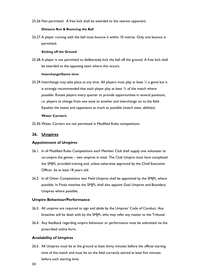25.26.Not permitted. A free kick shall be awarded to the nearest opponent.

#### **Distance Run & Bouncing the Ball**

25.27.A player running with the ball must bounce it within 10 metres. Only one bounce is permitted.

#### **Kicking off the Ground**

25.28.A player is not permitted to deliberately kick the ball off the ground. A free kick shall be awarded to the opposing team where this occurs.

## **Interchange/Game time**

25.29. Interchange may take place at any time. All players must play at least ½ a game but it is strongly recommended that each player play at least  $\frac{3}{4}$  of the match where possible. Rotate players every quarter to provide opportunities in several positions, i.e. players to change from one zone to another and interchange on to the field. Equalise the teams and opponents as much as possible (match sizes, abilities).

#### **Water Carrier/s**

25.30.Water Carriers are not permitted in Modified Rules competitions.

# <span id="page-33-0"></span>**26. Umpires**

## **Appointment of Umpires**

- 26.1. In all Modified Rules Competitions each Member Club shall supply one volunteer to co-umpire the games – two umpires in total. The Club Umpire must have completed the SMJFL provided training and, unless otherwise approved by the Chief Executive Officer, be at least 18 years old.
- 26.2. In all Other Competitions two Field Umpires shall be appointed by the SMJFL where possible. In Finals matches the SMJFL shall also appoint Goal Umpires and Boundary Umpires where possible.

## **Umpire Behaviour/Performance**

- 26.3. All umpires are required to sign and abide by the Umpires' Code of Conduct. Any breaches will be dealt with by the SMJFL who may refer any matter to the Tribunal.
- 26.4. Any feedback regarding umpire behaviour or performance must be submitted via the prescribed online form.

## **Availability of Umpires**

26.5. All Umpires must be at the ground at least thirty minutes before the official starting time of the match and must be on the field correctly attired at least five minutes before such starting time.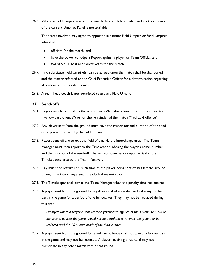26.6. Where a Field Umpire is absent or unable to complete a match and another member of the current Umpires Panel is not available:

The teams involved may agree to appoint a substitute Field Umpire or Field Umpires who shall:

- officiate for the match; and
- have the power to lodge a Report against a player or Team Official; and
- award SMIFL best and fairest votes for the match.
- 26.7. If no substitute Field Umpire(s) can be agreed upon the match shall be abandoned and the matter referred to the Chief Executive Officer for a determination regarding allocation of premiership points.
- 26.8. A team head coach is not permitted to act as a Field Umpire.

## <span id="page-34-0"></span>**27. Send-offs**

- 27.1. Players may be sent off by the umpire, in his/her discretion, for either one quarter ("yellow card offence") or for the remainder of the match ("red card offence").
- 27.2. Any player sent from the ground must have the reason for and duration of the sendoff explained to them by the field umpire.
- 27.3. Players sent off are to exit the field of play via the interchange area. The Team Manager must then report to the Timekeeper, advising the player's name, number and the duration of the send-off. The send-off commences upon arrival at the Timekeepers' area by the Team Manager.
- 27.4. Play must not restart until such time as the player being sent off has left the ground through the interchange area; the clock does not stop.
- 27.5. The Timekeeper shall advise the Team Manager when the penalty time has expired.
- 27.6. A player sent from the ground for a yellow card offence shall not take any further part in the game for a period of one full quarter. They may not be replaced during this time.

*Example: where a player is sent off for a yellow card offence at the 16-minute mark of the second quarter the player would not be permitted to re-enter the ground or be replaced until the 16-minute mark of the third quarter.*

27.7. A player sent from the ground for a red card offence shall not take any further part in the game and may not be replaced. A player receiving a red card may not participate in any other match within that round.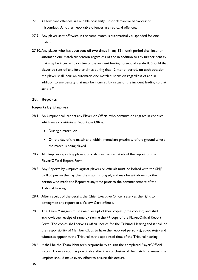- 27.8. Yellow card offences are audible obscenity, unsportsmanlike behaviour or misconduct. All other reportable offences are red card offences.
- 27.9. Any player sent off twice in the same match is automatically suspended for one match.
- 27.10.Any player who has been sent off two times in any 12-month period shall incur an automatic one match suspension regardless of and in addition to any further penalty that may be incurred by virtue of the incident leading to second send-off. Should that player be sent off any further times during that 12-month period, on each occasion the player shall incur an automatic one match suspension regardless of and in addition to any penalty that may be incurred by virtue of the incident leading to that send-off.

## <span id="page-35-0"></span>**28. Reports**

### **Reports by Umpires**

- 28.1. An Umpire shall report any Player or Official who commits or engages in conduct which may constitute a Reportable Office:
	- During a match; or
	- On the day of the match and within immediate proximity of the ground where the match is being played.
- 28.2. All Umpires reporting players/officials must write details of the report on the Player/Official Report Form.
- 28.3. Any Reports by Umpires against players or officials must be lodged with the SMJFL by 8.00 pm on the day that the match is played, and may be withdrawn by the person who made the Report at any time prior to the commencement of the Tribunal hearing.
- 28.4. After receipt of the details, the Chief Executive Officer reserves the right to downgrade any report to a Yellow Card offence.
- 28.5. The Team Managers must await receipt of their copies ("the copies") and shall acknowledge receipt of same by signing the 4<sup>th</sup> copy of the Player/Official Report Form. The copies shall serve as official notice for the Tribunal Hearing and it shall be the responsibility of Member Clubs to have the reported person(s), advocate(s) and witnesses appear at the Tribunal at the appointed time of the Tribunal hearing.
- 28.6. It shall be the Team Manager's responsibility to sign the completed Player/Official Report Form as soon as practicable after the conclusion of the match; however, the umpires should make every effort to ensure this occurs.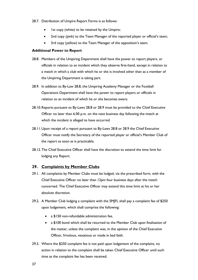- 28.7. Distribution of Umpire Report Forms is as follows:
	- Ist copy (white) to be retained by the Umpire;
	- 2nd copy (pink) to the Team Manager of the reported player or official's team;
	- 3rd copy (yellow) to the Team Manager of the opposition's team.

## **Additional Power to Report**

- <span id="page-36-1"></span>28.8. Members of the Umpiring Department shall have the power to report players, or officials in relation to an incident which they observe first-hand, except in relation to a match in which a club with which he or she is involved other than as a member of the Umpiring Department is taking part.
- <span id="page-36-2"></span>28.9. In addition to By-Law [28.8,](#page-36-1) the Umpiring Academy Manager or the Football Operations Department shall have the power to report players or officials in relation to an incident of which he or she becomes aware.
- 28.10.Reports pursuant to By-Laws [28.8](#page-36-1) or [28.9](#page-36-2) must be provided to the Chief Executive Officer no later than 6.00 p.m. on the next business day following the match at which the incident is alleged to have occurred.
- 28.11.Upon receipt of a report pursuant to By-Laws [28.8](#page-36-1) or [28.9](#page-36-2) the Chief Executive Officer must notify the Secretary of the reported player or official's Member Club of the report as soon as is practicable.
- 28.12.The Chief Executive Officer shall have the discretion to extend the time limit for lodging any Report.

# <span id="page-36-0"></span>**29. Complaints by Member Clubs**

- 29.1. All complaints by Member Clubs must be lodged, via the prescribed form, with the Chief Executive Officer no later than 12pm four business days after the match concerned. The Chief Executive Officer may extend this time limit at his or her absolute discretion.
- <span id="page-36-3"></span>29.2. A Member Club lodging a complaint with the SMJFL shall pay a complaint fee of \$250 upon lodgement, which shall comprise the following:
	- a \$150 non-refundable administration fee.
	- a \$100 bond which shall be returned to the Member Club upon finalisation of the matter, unless the complaint was, in the opinion of the Chief Executive Officer, frivolous, vexatious or made in bad faith.
- 29.3. Where the \$250 complaint fee is not paid upon lodgement of the complaint, no action in relation to the complaint shall be taken Chief Executive Officer until such time as the complaint fee has been received.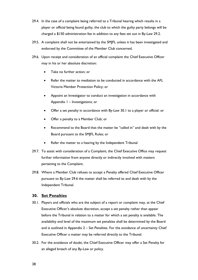- 29.4. In the case of a complaint being referred to a Tribunal hearing which results in a player or official being found guilty, the club to which the guilty party belongs will be charged a \$150 administration fee in addition to any fees set out in By-Law [29.2.](#page-36-3)
- 29.5. A complaint shall not be entertained by the SMJFL unless it has been investigated and endorsed by the Committee of the Member Club concerned.
- <span id="page-37-2"></span>29.6. Upon receipt and consideration of an official complaint the Chief Executive Officer may in his or her absolute discretion:
	- Take no further action; or
	- Refer the matter to mediation to be conducted in accordance with the AFL Victoria Member Protection Policy; or
	- Appoint an Investigator to conduct an investigation in accordance with Appendix 1 – [Investigations;](#page-50-0) or
	- Offer a set penalty in accordance with By-Law [30.1](#page-37-1) to a player or official: or
	- Offer a penalty to a Member Club; or
	- Recommend to the Board that the matter be "called in" and dealt with by the Board pursuant to the SMJFL Rules; or
	- Refer the matter to a hearing by the Independent Tribunal
- 29.7. To assist with consideration of a Complaint, the Chief Executive Office may request further information from anyone directly or indirectly involved with matters pertaining to the Complaint.
- 29.8. Where a Member Club refuses to accept a Penalty offered Chief Executive Officer pursuant to By-Law [29.6](#page-37-2) the matter shall be referred to and dealt with by the Independent Tribunal.

# <span id="page-37-0"></span>**30. Set Penalties**

- <span id="page-37-1"></span>30.1. Players and officials who are the subject of a report or complaint may, at the Chief Executive Officer's absolute discretion, accept a set penalty rather than appear before the Tribunal in relation to a matter for which a set penalty is available. The availability and level of the maximum set penalties shall be determined by the Board and is outlined in Appendix 2 – [Set Penalties.](#page-52-0) For the avoidance of uncertainty Chief Executive Officer a matter may be referred directly to the Tribunal.
- 30.2. For the avoidance of doubt, the Chief Executive Officer may offer a Set Penalty for an alleged breach of any By-Law or policy.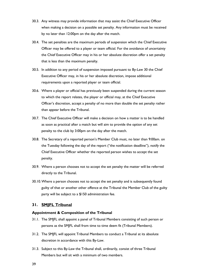- 30.3. Any witness may provide information that may assist the Chief Executive Officer when making a decision on a possible set penalty. Any information must be received by no later than 12:00pm on the day after the match.
- 30.4. The set penalties are the maximum periods of suspension which the Chief Executive Officer may be offered to a player or team official. For the avoidance of uncertainty the Chief Executive Officer may in his or her absolute discretion offer a set penalty that is less than the maximum penalty.
- 30.5. In addition to any period of suspension imposed pursuant to By-Law [30](#page-37-0) the Chief Executive Officer may, in his or her absolute discretion, impose additional requirements upon a reported player or team official.
- 30.6. Where a player or official has previously been suspended during the current season to which the report relates, the player or official may, at the Chief Executive Officer's discretion, accept a penalty of no more than double the set penalty rather than appear before the Tribunal.
- 30.7. The Chief Executive Officer will make a decision on how a matter is to be handled as soon as practical after a match but will aim to provide the option of any set penalty to the club by 3:00pm on the day after the match.
- 30.8. The Secretary of a reported person's Member Club must, no later than 9:00am. on the Tuesday following the day of the report ("the notification deadline"), notify the Chief Executive Officer whether the reported person wishes to accept the set penalty.
- 30.9. Where a person chooses not to accept the set penalty the matter will be referred directly to the Tribunal.
- 30.10.Where a person chooses not to accept the set penalty and is subsequently found guilty of that or another other offence at the Tribunal the Member Club of the guilty party will be subject to a \$150 administration fee.

# <span id="page-38-0"></span>**31. SMJFL Tribunal**

## **Appointment & Composition of the Tribunal**

- 31.1. The SMJFL shall appoint a panel of Tribunal Members consisting of such person or persons as the SMJFL shall from time to time deem fit (Tribunal Members).
- 31.2. The SMJFL will appoint Tribunal Members to conduct a Tribunal at its absolute discretion in accordance with this By-Law.
- 31.3. Subject to this By-Law the Tribunal shall, ordinarily, consist of three Tribunal Members but will sit with a minimum of two members.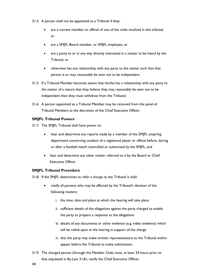- 31.4. A person shall not be appointed to a Tribunal if they:
	- are a current member or official of one of the clubs involved in this tribunal, or
	- are a SMJFL Board member, or SMJFL employee, or
	- are a party to or in any way directly interested in a matter to be heard by the Tribunal, or
	- otherwise has any relationship with any party to the matter such that that person is or may reasonably be seen not to be independent.
- 31.5. If a Tribunal Member becomes aware that he/she has a relationship with any party to the matter of a nature that they believe they may reasonably be seen not to be independent then they must withdraw from the Tribunal.
- 31.6. A person appointed as a Tribunal Member may be removed from the panel of Tribunal Members at the discretion of the Chief Executive Officer.

# **SMJFL Tribunal Powers**

- 31.7. The SMJFL Tribunal shall have power to:
	- hear and determine any reports made by a member of the SMJFL umpiring department concerning conduct of a registered player or official before, during or after a football match controlled or authorised by the SMJFL; and
	- hear and determine any other matter referred to it by the Board or Chief Executive Officer.

# **SMJFL Tribunal Procedure**

31.8. If the SMJFL determines to refer a charge to the Tribunal it shall:

- <span id="page-39-0"></span>• notify all persons who may be affected by the Tribunal's decision of the following matters:
	- i. the time, date and place at which the hearing will take place
	- ii. sufficient details of the allegations against the party charged to enable the party to prepare a response to the allegations
	- iii. details of any documents or other evidence (e.g. video evidence) which will be relied upon at the hearing in support of the charge
	- iv. that the party may make written representations to the Tribunal and/or appear before the Tribunal to make submissions.
- 31.9. The charged person (through the Member Club) must, at least 24 hours prior to that stipulated in By-Law [31.8.i,](#page-39-0) notify the Chief Executive Officer: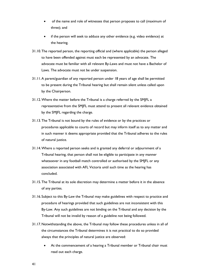- of the name and role of witnesses that person proposes to call (maximum of three); and
- if the person will seek to adduce any other evidence (e.g. video evidence) at the hearing.
- 31.10.The reported person, the reporting official and (where applicable) the person alleged to have been offended against must each be represented by an advocate. The advocate must be familiar with all relevant By-Laws and must not have a Bachelor of Laws. The advocate must not be under suspension.
- 31.11.A parent/guardian of any reported person under 18 years of age shall be permitted to be present during the Tribunal hearing but shall remain silent unless called upon by the Chairperson.
- <span id="page-40-0"></span>31.12.Where the matter before the Tribunal is a charge referred by the SMJFL a representative from the SMJFL must attend to present all relevant evidence obtained by the SMJFL regarding the charge.
- 31.13.The Tribunal is not bound by the rules of evidence or by the practices or procedures applicable to courts of record but may inform itself as to any matter and in such manner it deems appropriate provided that the Tribunal adheres to the rules of natural justice.
- 31.14.Where a reported person seeks and is granted any deferral or adjournment of a Tribunal hearing, that person shall not be eligible to participate in any manner whatsoever in any football match controlled or authorised by the SMJFL or any association associated with AFL Victoria until such time as the hearing has concluded.
- 31.15.The Tribunal at its sole discretion may determine a matter before it in the absence of any parties.
- 31.16. Subject to this By-Law the Tribunal may make guidelines with respect to practice and procedure of hearings provided that such guidelines are not inconsistent with this By-Law. Any such guidelines are not binding on the Tribunal and any decision by the Tribunal will not be invalid by reason of a guideline not being followed.
- 31.17.Notwithstanding the above, the Tribunal may follow these procedures unless in all of the circumstances the Tribunal determines it is not practical to do so provided always that the principles of natural justice are observed:
	- At the commencement of a hearing a Tribunal member or Tribunal chair must read out each charge.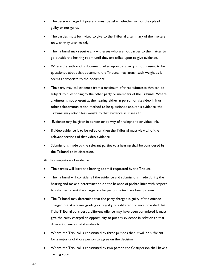- The person charged, if present, must be asked whether or not they plead guilty or not guilty.
- The parties must be invited to give to the Tribunal a summary of the matters on wish they wish to rely.
- The Tribunal may require any witnesses who are not parties to the matter to go outside the hearing room until they are called upon to give evidence.
- Where the author of a document relied upon by a party is not present to be questioned about that document, the Tribunal may attach such weight as it seems appropriate to the document.
- The party may call evidence from a maximum of three witnesses that can be subject to questioning by the other party or members of the Tribunal. Where a witness is not present at the hearing either in person or via video link or other telecommunication method to be questioned about his evidence, the Tribunal may attach less weight to that evidence as it sees fit.
- Evidence may be given in person or by way of a telephone or video link.
- If video evidence is to be relied on then the Tribunal must view all of the relevant sections of that video evidence.
- Submissions made by the relevant parties to a hearing shall be considered by the Tribunal at its discretion.

At the completion of evidence:

- The parties will leave the hearing room if requested by the Tribunal.
- The Tribunal will consider all the evidence and submissions made during the hearing and make a determination on the balance of probabilities with respect to whether or not the charge or charges of matter have been proven.
- The Tribunal may determine that the party charged is guilty of the offence charged but at a lesser grading or is guilty of a different offence provided that if the Tribunal considers a different offence may have been committed it must give the party charged an opportunity to put any evidence in relation to that different offence that it wishes to.
- Where the Tribunal is constituted by three persons then it will be sufficient for a majority of those person to agree on the decision.
- Where the Tribunal is constituted by two person the Chairperson shall have a casting vote.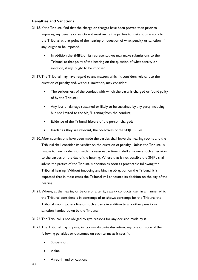# **Penalties and Sanctions**

- 31.18. If the Tribunal find that the charge or charges have been proved then prior to imposing any penalty or sanction it must invite the parties to make submissions to the Tribunal at that point of the hearing on question of what penalty or sanction, if any, ought to be imposed.
	- In addition the SMJFL or its representatives may make submissions to the Tribunal at that point of the hearing on the question of what penalty or sanction, if any, ought to be imposed.
- 31.19.The Tribunal may have regard to any matters which it considers relevant to the question of penalty and, without limitation, may consider:
	- The seriousness of the conduct with which the party is charged or found guilty of by the Tribunal;
	- Any loss or damage sustained or likely to be sustained by any party including but not limited to the SMJFL arising from the conduct;
	- Evidence of the Tribunal history of the person charged;
	- Insofar as they are relevant, the objectives of the SMJFL Rules.
- 31.20.After submissions have been made the parties shall leave the hearing rooms and the Tribunal shall consider its verdict on the question of penalty. Unless the Tribunal is unable to reach a decision within a reasonable time it shall announce such a decision to the parties on the day of the hearing. Where that is not possible the SMJFL shall advise the parties of the Tribunal's decision as soon as practicable following the Tribunal hearing. Without imposing any binding obligation on the Tribunal it is expected that in most cases the Tribunal will announce its decision on the day of the hearing.
- 31.21.Where, at the hearing or before or after it, a party conducts itself in a manner which the Tribunal considers is in contempt of or shows contempt for the Tribunal the Tribunal may impose a fine on such a party in addition to any other penalty or sanction handed down by the Tribunal.
- 31.22.The Tribunal is not obliged to give reasons for any decision made by it.
- 31.23.The Tribunal may impose, in its own absolute discretion, any one or more of the following penalties or outcomes on such terms as it sees fit:
	- Suspension;
	- A fine;
	- A reprimand or caution;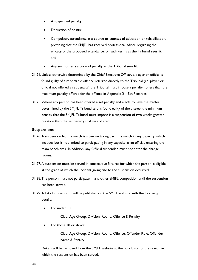- A suspended penalty;
- Deduction of points;
- Compulsory attendance at a course or courses of education or rehabilitation, providing that the SMJFL has received professional advice regarding the efficacy of the proposed attendance, on such terms as the Tribunal sees fit; and
- Any such other sanction of penalty as the Tribunal sees fit.
- 31.24.Unless otherwise determined by the Chief Executive Officer, a player or official is found guilty of a reportable offence referred directly to the Tribunal (i.e. player or official not offered a set penalty) the Tribunal must impose a penalty no less than the maximum penalty offered for the offence in Appendix 2 – [Set Penalties.](#page-52-0)
- 31.25.Where any person has been offered a set penalty and elects to have the matter determined by the SMJFL Tribunal and is found guilty of the charge, the minimum penalty that the SMJFL Tribunal must impose is a suspension of two weeks greater duration than the set penalty that was offered.

## **Suspensions**

- 31.26.A suspension from a match is a ban on taking part in a match in any capacity, which includes but is not limited to participating in any capacity as an official, entering the team bench area. In addition, any Official suspended must not enter the change rooms.
- 31.27.A suspension must be served in consecutive fixtures for which the person is eligible at the grade at which the incident giving rise to the suspension occurred.
- 31.28.The person must not participate in any other SMJFL competition until the suspension has been served.
- 31.29.A list of suspensions will be published on the SMJFL website with the following details:
	- For under 18:
		- i. Club, Age Group, Division, Round, Offence & Penalty
	- For those 18 or above:
		- i. Club, Age Group, Division, Round, Offence, Offender Role, Offender Name & Penalty

Details will be removed from the SMJFL website at the conclusion of the season in which the suspension has been served.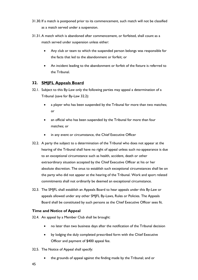- 31.30. If a match is postponed prior to its commencement, such match will not be classified as a match served under a suspension.
- 31.31.A match which is abandoned after commencement, or forfeited, shall count as a match served under suspension unless either:
	- Any club or team to which the suspended person belongs was responsible for the facts that led to the abandonment or forfeit; or
	- An incident leading to the abandonment or forfeit of the fixture is referred to the Tribunal.

# <span id="page-44-0"></span>**32. SMJFL Appeals Board**

- 32.1. Subject to this By-Law only the following parties may appeal a determination of a Tribunal (save for By-Law [32.2\)](#page-44-1):
	- a player who has been suspended by the Tribunal for more than two matches; or
	- an official who has been suspended by the Tribunal for more than four matches; or
	- in any event or circumstance, the Chief Executive Officer
- <span id="page-44-1"></span>32.2. A party the subject to a determination of the Tribunal who does not appear at the hearing of the Tribunal shall have no right of appeal unless such no-appearance is due to an exceptional circumstance such as health, accident, death or other extraordinary situation accepted by the Chief Executive Officer at his or her absolute discretion. The onus to establish such exceptional circumstances shall be on the party who did not appear at the hearing of the Tribunal. Work and sport related commitments shall not ordinarily be deemed an exceptional circumstance.
- 32.3. The SMJFL shall establish an Appeals Board to hear appeals under this By-Law or appeals allowed under any other SMJFL By-Laws, Rules or Policies. The Appeals Board shall be constituted by such persons as the Chief Executive Officer sees fit.

# **Time and Notice of Appeal**

- 32.4. An appeal by a Member Club shall be brought:
	- no later than two business days after the notification of the Tribunal decision
	- by lodging the duly completed prescribed form with the Chief Executive Officer and payment of \$400 appeal fee.
- 32.5. The Notice of Appeal shall specify:
	- the grounds of appeal against the finding made by the Tribunal; and or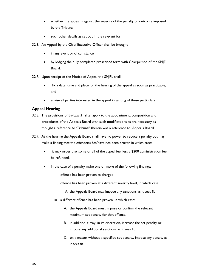- whether the appeal is against the severity of the penalty or outcome imposed by the Tribunal
- such other details as set out in the relevant form
- 32.6. An Appeal by the Chief Executive Officer shall be brought:
	- in any event or circumstance
	- by lodging the duly completed prescribed form with Chairperson of the SMJFL Board.
- 32.7. Upon receipt of the Notice of Appeal the SMJFL shall
	- fix a date, time and place for the hearing of the appeal as soon as practicable; and
	- advise all parties interested in the appeal in writing of these particulars.

# **Appeal Hearing**

- 32.8. The provisions of By-Law [31](#page-38-0) shall apply to the appointment, composition and procedures of the Appeals Board with such modifications as are necessary as thought a reference to 'Tribunal' therein was a reference to 'Appeals Board'.
- 32.9. At the hearing the Appeals Board shall have no power to reduce a penalty but may make a finding that the offence(s) has/have not been proven in which case:
	- it may order that some or all of the appeal feel less a \$200 administration fee be refunded.
	- in the case of a penalty make one or more of the following findings:
		- i. offence has been proven as charged
		- ii. offence has been proven at a different severity level, in which case:
			- A. the Appeals Board may impose any sanctions as it sees fit
		- iii. a different offence has been proven, in which case:
			- A. the Appeals Board must impose or confirm the relevant maximum set penalty for that offence.
			- B. in addition it may, in its discretion, increase the set penalty or impose any additional sanctions as it sees fit.
			- C. on a matter without a specified set penalty, impose any penalty as it sees fit.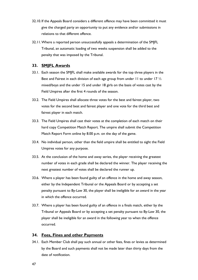- 32.10. If the Appeals Board considers a different offence may have been committed it must give the charged party an opportunity to put any evidence and/or submissions in relations to that different offence.
- 32.11.Where a reported person unsuccessfully appeals a determination of the SMJFL Tribunal, an automatic loading of two weeks suspension shall be added to the penalty that was imposed by the Tribunal.

# <span id="page-46-0"></span>**33. SMJFL Awards**

- 33.1. Each season the SMJFL shall make available awards for the top three players in the Best and Fairest in each division of each age group from under 11 to under 17  $\frac{1}{2}$ mixed/boys and the under 15 and under 18 girls on the basis of votes cast by the Field Umpires after the first 4 rounds of the season.
- 33.2. The Field Umpires shall allocate three votes for the best and fairest player, two votes for the second best and fairest player and one vote for the third best and fairest player in each match.
- 33.3. The Field Umpires shall cast their votes at the completion of each match on their hard copy Competition Match Report. The umpire shall submit the Competition Match Report Form online by 8.00 p.m. on the day of the game.
- 33.4. No individual person, other than the field umpire shall be entitled to sight the Field Umpires votes for any purpose.
- 33.5. At the conclusion of the home and away series, the player receiving the greatest number of votes in each grade shall be declared the winner. The player receiving the next greatest number of votes shall be declared the runner up.
- 33.6. Where a player has been found guilty of an offence in the home and away season, either by the Independent Tribunal or the Appeals Board or by accepting a set penalty pursuant to By-Law [30,](#page-37-0) the player shall be ineligible for an award in the year in which the offence occurred.
- 33.7. Where a player has been found guilty of an offence in a finals match, either by the Tribunal or Appeals Board or by accepting a set penalty pursuant to By-Law [30,](#page-37-0) the player shall be ineligible for an award in the following year to when the offence occurred.

# <span id="page-46-1"></span>**34. Fees, Fines and other Payments**

34.1. Each Member Club shall pay such annual or other fees, fines or levies as determined by the Board and such payments shall not be made later than thirty days from the date of notification.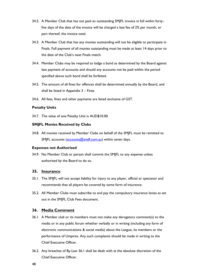- 34.2. A Member Club that has not paid an outstanding SMJFL invoice in full within fortyfive days of the date of the invoice will be charged a late fee of 2% per month, or part thereof, the invoice total.
- 34.3. A Member Club that has any monies outstanding will not be eligible to participate in Finals. Full payment of all monies outstanding must be made at least 14 days prior to the date of the Club's next Finals match.
- 34.4. Member Clubs may be required to lodge a bond as determined by the Board against late payment of accounts and should any accounts not be paid within the period specified above such bond shall be forfeited.
- 34.5. The amount of all fines for offences shall be determined annually by the Board, and shall be listed in [Appendix 3](#page-53-0) – Fines
- 34.6. All fees, fines and other payments are listed exclusive of GST.

# **Penalty Units**

34.7. The value of one Penalty Unit is AUD\$10.00.

# **SMJFL Monies Received by Clubs**

34.8. All monies received by Member Clubs on behalf of the SMJFL must be remitted to SMJFL accounts [\(accounts@smjfl.com.au\)](mailto:accounts@smjfl.com.au) within seven days.

# **Expenses not Authorised**

34.9. No Member Club or person shall commit the SMJFL to any expense unless authorised by the Board to do so.

# <span id="page-47-0"></span>**35. Insurance**

- 35.1. The SMJFL will not accept liability for injury to any player, official or spectator and recommends that all players be covered by some form of insurance.
- 35.2. All Member Clubs must subscribe to and pay the compulsory insurance levies as set out in the SMJFL Club Fees document.

# <span id="page-47-1"></span>**36. Media Comment**

- <span id="page-47-2"></span>36.1. A Member club or its members must not make any derogatory comment(s) to the media or in any public forum whether verbally or in writing (including any form of electronic communications & social media) about the League, its members or the performance of Umpires. Any such complaints should be made in writing to the Chief Executive Officer.
- 36.2. Any breaches of By-Law [36.1](#page-47-2) shall be dealt with at the absolute discretion of the Chief Executive Officer.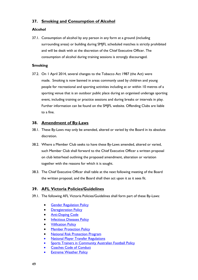# <span id="page-48-0"></span>**37. Smoking and Consumption of Alcohol**

# **Alcohol**

37.1. Consumption of alcohol by any person in any form at a ground (including surrounding areas) or building during SMJFL scheduled matches is strictly prohibited and will be dealt with at the discretion of the Chief Executive Officer. The consumption of alcohol during training sessions is strongly discouraged.

# **Smoking**

37.2. On 1 April 2014, several changes to the Tobacco Act 1987 (the Act) were made. Smoking is now banned in areas commonly used by children and young people for recreational and sporting activities including at or within 10 metres of a sporting venue that is an outdoor public place during an organised underage sporting event, including training or practice sessions and during breaks or intervals in play. Further information can be found on the SMJFL website. Offending Clubs are liable to a fine.

# <span id="page-48-1"></span>**38. Amendment of By-Laws**

- 38.1. These By-Laws may only be amended, altered or varied by the Board in its absolute discretion.
- 38.2. Where a Member Club seeks to have these By-Laws amended, altered or varied, such Member Club shall forward to the Chief Executive Officer a written proposal on club letterhead outlining the proposed amendment, alteration or variation together with the reasons for which it is sought.
- 38.3. The Chief Executive Officer shall table at the next following meeting of the Board the written proposal, and the Board shall then act upon it as it sees fit.

# <span id="page-48-2"></span>**39. AFL Victoria Policies/Guidelines**

- 39.1. The following AFL Victoria Policies/Guidelines shall form part of these By-Laws:
	- **[Gender Regulation Policy](http://aflvic.com.au/wp-content/uploads/2013/08/2_AFL_VIC_Gender_Regulation_Policy.pdf)**
	- [Deregistration Policy](http://aflvic.com.au/wp-content/uploads/2013/08/DeRegistration_Policy_May_2011.pdf)
	- **[Anti-Doping Code](http://aflvic.com.au/wp-content/uploads/2013/08/AFL_Anti-Doping_Code_2010.pdf)**
	- **[Infectious Diseases Policy](http://aflvic.com.au/wp-content/uploads/2013/08/AFL_Victoria_Infectious_Diseases_Policy.pdf)**
	- **[Vilification Policy](http://aflvic.com.au/wp-content/uploads/2013/08/AFL_Victoria_Vilification_Policy_Final_250612.pdf)**
	- **[Member Protection Policy](http://aflvic.com.au/wp-content/uploads/2013/08/Microsoft_Word_-_AFLV_Member_Protection_Policy_170309_01.pdf)**
	- [National Risk Protection Program](http://afl.jltsport.com.au/)
	- **[National Player Transfer Regulations](http://www.aflvic.com.au/wp-content/uploads/2013/08/National-Player-Transfer-Regulations_2014_FINAL.pdf)**
	- [Sports Trainers in Community Australian Football Policy](http://aflvic.com.au/wp-content/uploads/2013/08/AFL_Trainers_Policy.pdf)
	- Coaches Code of Conduct
	- **Extreme Weather Policy**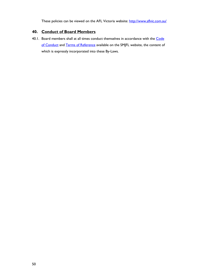These policies can be viewed on the AFL Victoria website:<http://www.aflvic.com.au/>

# <span id="page-49-0"></span>**40. Conduct of Board Members**

40.1. Board members shall at all times conduct themselves in accordance with the Code [of Conduct](http://www.smjfl.com.au/fileadmin/user_upload/files_rules_bylaws_policies/2014_SMJFL_Board_Code_of_Conduct_Final.pdf) and [Terms of Reference](http://www.smjfl.com.au/fileadmin/user_upload/files_rules_bylaws_policies/2014_SMJFL_Board_Terms_of_Reference_Final.pdf) available on the SMJFL website, the content of which is expressly incorporated into these By-Laws.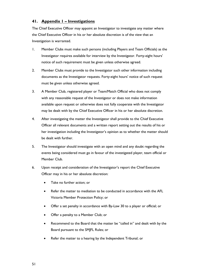# <span id="page-50-0"></span>**41. Appendix 1 – Investigations**

The Chief Executive Officer may appoint an Investigator to investigate any matter where the Chief Executive Officer in his or her absolute discretion is of the view that an Investigation is warranted.

- 1. Member Clubs must make such persons (including Players and Team Officials) as the Investigator requires available for interview by the Investigator. Forty-eight hours' notice of such requirement must be given unless otherwise agreed.
- 2. Member Clubs must provide to the Investigator such other information including documents as the Investigator requests. Forty-eight hours' notice of such request must be given unless otherwise agreed.
- 3. A Member Club, registered player or Team/Match Official who does not comply with any reasonable request of the Investigator or does not make information available upon request or otherwise does not fully cooperate with the Investigator may be dealt with by the Chief Executive Officer in his or her absolute discretion.
- 4. After investigating the matter the Investigator shall provide to the Chief Executive Officer all relevant documents and a written report setting out the results of his or her investigation including the Investigator's opinion as to whether the matter should be dealt with further.
- 5. The Investigator should investigate with an open mind and any doubt regarding the events being considered must go in favour of the investigated player, team official or Member Club.
- 6. Upon receipt and consideration of the Investigator's report the Chief Executive Officer may in his or her absolute discretion:
	- Take no further action; or
	- Refer the matter to mediation to be conducted in accordance with the AFL Victoria Member Protection Policy; or
	- Offer a set penalty in accordance with By-Law [30](#page-37-0) to a player or official; or
	- Offer a penalty to a Member Club; or
	- Recommend to the Board that the matter be "called in" and dealt with by the Board pursuant to the SMJFL Rules; or
	- Refer the matter to a hearing by the Independent Tribunal; or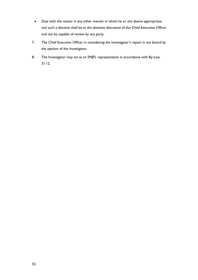- Deal with the matter in any other manner in which he or she deems appropriate; and such a decision shall be at the absolute discretion of the Chief Executive Officer and not be capable of review by any party.
- 7. The Chief Executive Officer in considering the Investigator's report is not bound by the opinion of the Investigator.
- 8. The Investigator may act as an SMJFL representative in accordance with By-Law [31.12.](#page-40-0)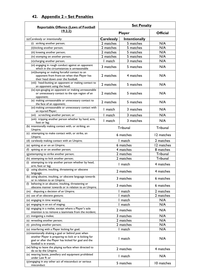| <b>Reportable Offence (Laws of Football</b>                                                                                                                                                      | <b>Set Penalty</b> |                      |                 |
|--------------------------------------------------------------------------------------------------------------------------------------------------------------------------------------------------|--------------------|----------------------|-----------------|
| 19.2.2)                                                                                                                                                                                          | <b>Player</b>      |                      | <b>Official</b> |
| (a) Carelessly or intentionally:                                                                                                                                                                 | <b>Carelessly</b>  | <b>Intentionally</b> |                 |
| (i) striking another person;                                                                                                                                                                     | 2 matches          | 5 matches            | N/A             |
| (ii) kicking another person;                                                                                                                                                                     | 2 matches          | 5 matches            | N/A             |
| (iii) kneeing another person;                                                                                                                                                                    | 2 matches          | 5 matches            | N/A             |
| (iv) stomping on another person;                                                                                                                                                                 | 2 matches          | 5 matches            | N/A             |
| (v) charging another person;                                                                                                                                                                     | I match            | 3 matches            | N/A             |
| (vi) engaging in rough conduct against an opponent<br>which in the circumstances is unreasonable                                                                                                 | 3 matches          | 5 matches            | N/A             |
| (vii) bumping or making forceful contact to an<br>opponent from front-on when that Player has<br>their head down over the football;                                                              | 2 matches          | 4 matches            | N/A             |
| (viii) head-butting an opponent or making contact to<br>an opponent using the head;                                                                                                              | 2 matches          | 5 matches            | N/A             |
| (ix) eye-gouging an opponent or making unreasonable<br>or unnecessary contact to the eye region of an<br>opponent;                                                                               | 2 matches          | 5 matches            | N/A             |
| $(x)$ making unreasonable or unnecessary contact to<br>the face of an opponent;                                                                                                                  | 2 matches          | 5 matches            | N/A             |
| (xi) making unreasonable or unnecessary contact with<br>an injured Player;                                                                                                                       | I match            | 3 matches            | N/A             |
| (xii) scratching another person; or                                                                                                                                                              | 1 match            | 3 matches            | N/A             |
| (xiii) tripping another person whether by hand, arm,<br>foot or leg;                                                                                                                             | I match            | 3 matches            | N/A             |
| (b) intentionally making contact with, or striking, an<br>Umpire;                                                                                                                                |                    | Tribunal             | Tribunal        |
| (c) attempting to make contact with, or strike, an<br>Umpire;                                                                                                                                    |                    | 6 matches            | 12 matches      |
| (d) carelessly making contact with an Umpire;                                                                                                                                                    |                    | I match              | 2 matches       |
| (e) spitting at or on an Umpire;                                                                                                                                                                 |                    | 6 matches            | 12 matches      |
| spitting at or on another person;<br>(f)                                                                                                                                                         |                    | 4 matches            | 8 matches       |
| (g) attempting to strike another person;                                                                                                                                                         |                    | 2 matches            | Tribunal        |
| (h) attempting to kick another person;                                                                                                                                                           |                    | 2 matches            | Tribunal        |
| attempting to trip another person whether by head,<br>(i)<br>arm, foot or leg;                                                                                                                   |                    | I match              | 4 matches       |
| (j) using abusive, insulting, threatening or obscene<br>language;                                                                                                                                |                    | 2 matches            | 4 matches       |
| (k) using abusive, insulting, or obscene language towards<br>or in relation to an Umpire;                                                                                                        |                    | 3 matches            | 6 matches       |
| behaving in an abusive, insulting, threatening or<br>(1)<br>obscene manner towards or in relation to an Umpire;                                                                                  |                    | 3 matches            | 6 matches       |
| disputing a decision of an Umpire;<br>(m)                                                                                                                                                        |                    | l match              | 2 matches       |
| (n) use of an obscene gesture;                                                                                                                                                                   |                    | match                | 2 matches       |
| (o) engaging in time wasting;                                                                                                                                                                    |                    | match                | N/A             |
| (p) engaging in an act of staging;                                                                                                                                                               |                    | match                | N/A             |
| (q) engaging in a melee, except where a Player's sole<br>intention is to remove a teammate from the incident;                                                                                    |                    | 2 matches            | N/A             |
| (r) instigating a melee;                                                                                                                                                                         |                    | 3 matches            | N/A             |
| (s) wrestling another person;                                                                                                                                                                    |                    | 2 matches            | N/A             |
| (t) pinching another person;                                                                                                                                                                     |                    | 2 matches            | N/A             |
| (u) interfering with a Player kicking for goal;                                                                                                                                                  |                    | l match              | N/A             |
| (v) intentionally shaking a goal or behind post when<br>another Player is preparing to kick or is kicking for<br>goal or after the Player has kicked for goal and the<br>football is in transit; |                    | I match              | N/A             |
| (w) failing to leave the playing surface when directed to<br>do so by the Umpire;                                                                                                                |                    | 2 matches            | 4 matches       |
| (x) wearing boots, jewellery and equipment prohibited<br>under Law 9; or                                                                                                                         |                    | I match              | N/A             |
| (y) engaging in any other act of misconduct or serious<br>misconduct                                                                                                                             |                    | 5 matches            | 10 matches      |

# <span id="page-52-0"></span>**42. Appendix 2 – Set Penalties**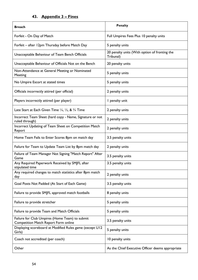# <span id="page-53-0"></span>**43. Appendix 3 – Fines**

| <b>Breach</b>                                                                                 | <b>Penalty</b>                                             |
|-----------------------------------------------------------------------------------------------|------------------------------------------------------------|
| Forfeit - On Day of Match                                                                     | Full Umpires Fees Plus 10 penalty units                    |
| Forfeit - after 12pm Thursday before Match Day                                                | 5 penalty units                                            |
| Unacceptable Behaviour of Team Bench Officials                                                | 20 penalty units (With option of fronting the<br>Tribunal) |
| Unacceptable Behaviour of Officials Not on the Bench                                          | 20 penalty units                                           |
| Non-Attendance at General Meeting or Nominated<br><b>Meeting</b>                              | 5 penalty units                                            |
| No Umpire Escort at stated times                                                              | 5 penalty units                                            |
| Officials incorrectly attired (per official)                                                  | 2 penalty units                                            |
| Players incorrectly attired (per player)                                                      | I penalty unit                                             |
| Late Start at Each Given Time $\frac{1}{4}$ , $\frac{1}{2}$ , & $\frac{3}{4}$ Time            | 2 penalty units                                            |
| Incorrect Team Sheet (hard copy - Name, Signature or not<br>ruled through)                    | 2 penalty units                                            |
| Incorrect Updating of Team Sheet on Competition Match<br>Report                               | 2 penalty units                                            |
| Home Team Fails to Enter Scores 8pm on match day                                              | 3.5 penalty units                                          |
| Failure for Team to Update Team List by 8pm match day                                         | 2 penalty units                                            |
| Failure of Team Manager Not Signing "Match Report" After<br>Game                              | 3.5 penalty units                                          |
| Any Required Paperwork Received by SMJFL after<br>stipulated time                             | 3.5 penalty units                                          |
| Any required changes to match statistics after 8pm match<br>day                               | 2 penalty units                                            |
| Goal Posts Not Padded (At Start of Each Game)                                                 | 3.5 penalty units                                          |
| Failure to provide SMJFL approved match footballs                                             | 8 penalty units                                            |
| Failure to provide stretcher                                                                  | 5 penalty units                                            |
| Failure to provide Team and Match Officials                                                   | 5 penalty units                                            |
| Failure for Club Umpires (Home Team) to submit<br><b>Competition Match Report Form online</b> | 3.5 penalty units                                          |
| Displaying scoreboard at Modified Rules game (except U12<br>Girls)                            | 5 penalty units                                            |
| Coach not accredited (per coach)                                                              | 10 penalty units                                           |
| Other                                                                                         | As the Chief Executive Officer deems appropriate           |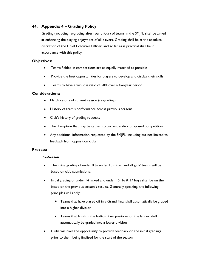# <span id="page-54-0"></span>**44. Appendix 4 – Grading Policy**

Grading (including re-grading after round four) of teams in the SMJFL shall be aimed at enhancing the playing enjoyment of all players. Grading shall be at the absolute discretion of the Chief Executive Officer, and so far as is practical shall be in accordance with this policy.

# **Objectives:**

- Teams fielded in competitions are as equally matched as possible
- Provide the best opportunities for players to develop and display their skills
- Teams to have a win/loss ratio of 50% over a five-year period

# **Considerations:**

- Match results of current season (re-grading)
- History of team's performance across previous seasons
- Club's history of grading requests
- The disruption that may be caused to current and/or proposed competition
- Any additional information requested by the SMJFL, including but not limited to feedback from opposition clubs.

# **Process:**

# **Pre-Season**

- The initial grading of under 8 to under 13 mixed and all girls' teams will be based on club submissions.
- Initial grading of under 14 mixed and under 15, 16 & 17 boys shall be on the based on the previous season's results. Generally speaking, the following principles will apply:
	- $\triangleright$  Teams that have played off in a Grand Final shall automatically be graded into a higher division
	- $\triangleright$  Teams that finish in the bottom two positions on the ladder shall automatically be graded into a lower division
- Clubs will have the opportunity to provide feedback on the initial gradings prior to them being finalised for the start of the season.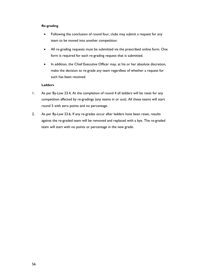## **Re-grading**

- Following the conclusion of round four, clubs may submit a request for any team to be moved into another competition.
- All re-grading requests must be submitted via the prescribed online form. One form is required for each re-grading request that is submitted.
- In addition, the Chief Executive Officer may, at his or her absolute discretion, make the decision to re-grade any team regardless of whether a request for such has been received.

## **Ladders**

- 1. As per By-Law [23.4, At the completion of round 4 all ladders will be reset](#page-28-2) for any [competition affected by re-gradings \(any teams in or out\).](#page-28-2) All these teams will start [round 5 with zero points and no percentage.](#page-28-2)
- 2. As per By-Law [23.6, If any re-grades occur after ladders have been reset, results](#page-29-1)  [against the re-graded team will be removed and replaced with a bye. The re-graded](#page-29-1)  [team will start with no points or percentage in the new grade.](#page-29-1)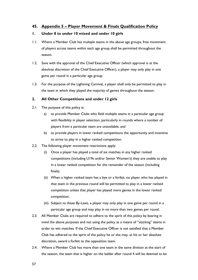# <span id="page-56-0"></span>**45. Appendix 5 – Player Movement & Finals Qualification Policy**

# **1. Under 8 to under 10 mixed and under 10 girls**

- 1.1. Where a Member Club has multiple teams in the above age groups, free movement of players across teams within each age group shall be permitted throughout the season.
- 1.2. Save with the approval of the Chief Executive Officer (which approval is at the absolute discretion of the Chief Executive Officer), a player may only play in one game per round in a particular age group.
- 1.3. For the purpose of the Lightning Carnival, a player shall only be permitted to play in the team in which they played the majority of games throughout the season.

# **2. All Other Competitions and under 12 girls**

- 2.1. The purpose of this policy is:
	- a) to provide Member Clubs who field multiple teams in a particular age group with flexibility in player selection, particularly in rounds where a number of players from a particular team are unavailable; and
	- b) to provide players in lower ranked competitions the opportunity and incentive to strive to play in a higher ranked competition.
- 2.2. The following player movement restrictions apply:
	- (i) Once a player has played a total of six matches in any higher ranked competitions (including U19s and/or Senior Women's) they are unable to play in a lower ranked competition for the remainder of the season (including finals).
	- (ii) When a higher ranked team has a bye or a forfeit, no player who has played in that team in the previous round will be permitted to play in a lower ranked competition unless that player has played more games in the lower ranked competition.
	- (iii) Subject to these By-Laws, a player may only play in one game per round in a particular age group and may play in no more than two games per round.
- 2.3. All Member Clubs are required to adhere to the spirit of this policy by bearing in mind the above purposes and not using the policy as a means of "stacking" teams in order to win matches. If the Chief Executive Officer is not satisfied that a Member Club has adhered to the spirit of the policy he or she may, at his or her absolute discretion, award a forfeit to the opposition team.
- 2.4. Where a Member Club has more than one team in the same division at the start of the season, the team that is higher on the ladder after round 4 will be deemed to be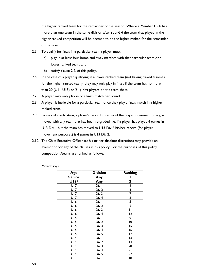the higher ranked team for the remainder of the season. Where a Member Club has more than one team in the same division after round 4 the team that played in the higher ranked competition will be deemed to be the higher ranked for the remainder of the season.

- 2.5. To qualify for finals in a particular team a player must:
	- a) play in at least four home and away matches with that particular team or a lower ranked team; and
	- b) satisfy clause 2.2. of this policy.
- 2.6. In the case of a player qualifying in a lower ranked team (not having played 4 games for the higher ranked team), they may only play in finals if the team has no more than 20 (U11-U13) or 21 (14+) players on the team sheet.
- 2.7. A player may only play in one finals match per round.
- 2.8. A player is ineligible for a particular team once they play a finals match in a higher ranked team.
- 2.9. By way of clarification, a player's record in terms of the player movement policy, is moved with any team that has been re-graded. i.e. if a player has played 4 games in U13 Div 1 but the team has moved to U13 Div 2 his/her record (for player movement purposes) is 4 games in U13 Div 2.
- 2.10. The Chief Executive Officer (at his or her absolute discretion) may provide an exemption for any of the clauses in this policy. For the purposes of this policy, competitions/teams are ranked as follows:

| Mixed/Boys |
|------------|
|------------|

| <b>Age</b>    | <b>Division</b>  | Ranking                 |
|---------------|------------------|-------------------------|
| <b>Senior</b> | Any              | I                       |
| U19*          | Any              | $\overline{\mathbf{2}}$ |
| <b>U17</b>    | Div I            | $\overline{\mathbf{3}}$ |
| <b>U17</b>    | Div 2            | 4                       |
| <b>U17</b>    | Div 3            | $\overline{7}$          |
| U17           | Div <sub>4</sub> | 8                       |
| U16           | Div I            | $\overline{5}$          |
| U16           | Div 2            | $\overline{6}$          |
| U16           | Div 3            | П                       |
| U16           | Div <sub>4</sub> | 12                      |
| UI5           | Div I            | 9                       |
| UI5           | Div 2            | $\overline{0}$          |
| UI5           | Div 3            | 15                      |
| UI5           | Div <sub>4</sub> | 16                      |
| UI5           | Div 5            | 17                      |
| U14           | Div I            | 13                      |
| U14           | Div 2            | 4                       |
| U14           | Div 3            | 20                      |
| U14           | Div <sub>4</sub> | 21                      |
| U14           | Div 5            | 22                      |
| UI3           | Div I            | 18                      |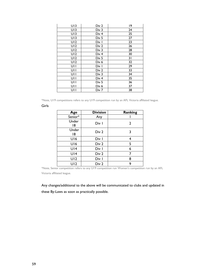| UI3 | Div 2            | 19 |
|-----|------------------|----|
| UI3 | Div 3            | 24 |
| UI3 | Div <sub>4</sub> | 25 |
| UI3 | Div 5            | 27 |
| U12 | Div I            | 23 |
| U12 | Div 2            | 26 |
| U12 | Div 3            | 28 |
| U12 | Div <sub>4</sub> | 30 |
| U12 | Div 5            | 31 |
| U12 | Div 6            | 32 |
| UII | Div I            | 29 |
| UII | Div 2            | 33 |
| UII | Div 3            | 34 |
| UII | Div <sub>4</sub> | 35 |
| UII | Div 5            | 36 |
| UII | Div 6            | 37 |
| UII | Div 7            | 38 |

\*Note, U19 competitions refers to any U19 competition run by an AFL Victoria affiliated league.

### Girls

| Age         | <b>Division</b> | <b>Ranking</b> |
|-------------|-----------------|----------------|
| Senior*     | Any             |                |
| Under<br>18 | Div I           | 2              |
| Under<br>18 | Div 2           | 3              |
| U16         | Div I           | 4              |
| U16         | Div 2           | 5              |
| U14         | Div I           | 6              |
| U14         | Div 2           | 7              |
| UI2         | Div I           | 8              |
| U12         | Div 2           | 9              |

\*Note, Senior competition refers to any U19 competition run Women's competition run by an AFL Victoria affiliated league.

Any changes/additional to the above will be communicated to clubs and updated in these By-Laws as soon as practically possible.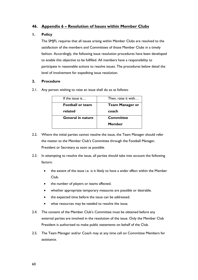# <span id="page-59-0"></span>**46. Appendix 6 – Resolution of Issues within Member Clubs**

# **1. Policy**

The SMJFL requires that all issues arising within Member Clubs are resolved to the satisfaction of the members and Committees of those Member Clubs in a timely fashion. Accordingly, the following issue resolution procedures have been developed to enable this objective to be fulfilled. All members have a responsibility to participate in reasonable actions to resolve issues. The procedures below detail the level of involvement for expediting issue resolution.

## **2. Procedure**

2.1. Any person wishing to raise an issue shall do so as follows:

| If the issue is          | Then, raise it with    |
|--------------------------|------------------------|
| <b>Football or team</b>  | <b>Team Manager or</b> |
| related                  | coach                  |
| <b>General in nature</b> | Committee              |
|                          | <b>Member</b>          |

- 2.2. Where the initial parties cannot resolve the issue, the Team Manager should refer the matter to the Member Club's Committee through the Football Manager, President or Secretary as soon as possible.
- 2.3. In attempting to resolve the issue, all parties should take into account the following factors:
	- the extent of the issue i.e. is it likely to have a wider effect within the Member Club.
	- the number of players or teams affected.
	- whether appropriate temporary measures are possible or desirable.
	- the expected time before the issue can be addressed.
	- what resources may be needed to resolve the issue.
- 2.4. The consent of the Member Club's Committee must be obtained before any external parties are involved in the resolution of the issue. Only the Member Club President is authorised to make public statements on behalf of the Club.
- 2.5. The Team Manager and/or Coach may at any time call on Committee Members for assistance.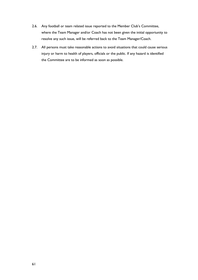- 2.6. Any football or team related issue reported to the Member Club's Committee, where the Team Manager and/or Coach has not been given the initial opportunity to resolve any such issue, will be referred back to the Team Manager/Coach.
- 2.7. All persons must take reasonable actions to avoid situations that could cause serious injury or harm to health of players, officials or the public. If any hazard is identified the Committee are to be informed as soon as possible.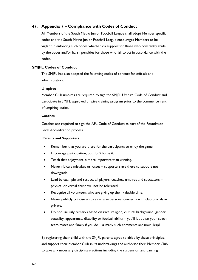# <span id="page-61-0"></span>**47. Appendix 7 – Compliance with Codes of Conduct**

All Members of the South Metro Junior Football League shall adopt Member specific codes and the South Metro Junior Football League encourages Members to be vigilant in enforcing such codes whether via support for those who constantly abide by the codes and/or harsh penalties for those who fail to act in accordance with the codes.

## **SMJFL Codes of Conduct**

The SMJFL has also adopted the following codes of conduct for officials and administrators.

#### **Umpires**

Member Club umpires are required to sign the SMJFL Umpire Code of Conduct and participate in SMJFL approved umpire training program prior to the commencement of umpiring duties.

#### **Coaches**

Coaches are required to sign the AFL Code of Conduct as part of the Foundation Level Accreditation process.

#### **Parents and Supporters**

- Remember that you are there for the participants to enjoy the game.
- Encourage participation, but don't force it.
- Teach that enjoyment is more important than winning.
- Never ridicule mistakes or losses supporters are there to support not downgrade.
- Lead by example and respect all players, coaches, umpires and spectators physical or verbal abuse will not be tolerated.
- Recognise all volunteers who are giving up their valuable time.
- Never publicly criticise umpires raise personal concerns with club officials in private.
- Do not use ugly remarks based on race, religion, cultural background, gender, sexuality, appearance, disability or football ability – you'll let down your coach, team-mates and family if you do – & many such comments are now illegal.

By registering their child with the SMJFL parents agree to abide by these principles, and support their Member Club in its undertakings and authorise their Member Club to take any necessary disciplinary actions including the suspension and banning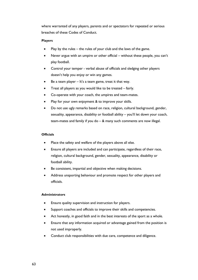where warranted of any players, parents and or spectators for repeated or serious breaches of these Codes of Conduct.

### **Players**

- Play by the rules the rules of your club and the laws of the game.
- Never argue with an umpire or other official without these people, you can't play football.
- Control your temper verbal abuse of officials and sledging other players doesn't help you enjoy or win any games.
- Be a team player  $-$  It's a team game, treat it that way.
- Treat all players as you would like to be treated fairly.
- Co-operate with your coach, the umpires and team-mates.
- Play for your own enjoyment & to improve your skills.
- Do not use ugly remarks based on race, religion, cultural background, gender, sexuality, appearance, disability or football ability – you'll let down your coach, team-mates and family if you do – & many such comments are now illegal.

#### **Officials**

- Place the safety and welfare of the players above all else.
- Ensure all players are included and can participate, regardless of their race, religion, cultural background, gender, sexuality, appearance, disability or football ability.
- Be consistent, impartial and objective when making decisions.
- Address unsporting behaviour and promote respect for other players and officials.

## **Administrators**

- Ensure quality supervision and instruction for players.
- Support coaches and officials to improve their skills and competencies.
- Act honestly, in good faith and in the best interests of the sport as a whole.
- Ensure that any information acquired or advantage gained from the position is not used improperly.
- Conduct club responsibilities with due care, competence and diligence.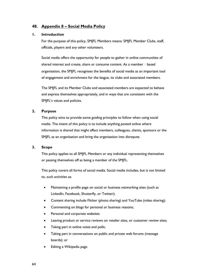# <span id="page-63-0"></span>**48. Appendix 8 – Social Media Policy**

## **1. Introduction**

For the purpose of this policy, SMJFL Members means: SMJFL Member Clubs, staff, officials, players and any other volunteers.

Social media offers the opportunity for people to gather in online communities of shared interest and create, share or consume content. As a member - based organisation, the SMJFL recognises the benefits of social media as an important tool of engagement and enrichment for the league, its clubs and associated members.

The SMJFL and its Member Clubs and associated members are expected to behave and express themselves appropriately, and in ways that are consistent with the SMJFL's values and policies.

## **2. Purpose**

This policy aims to provide some guiding principles to follow when using social media. The intent of this policy is to include anything posted online where information is shared that might affect members, colleagues, clients, sponsors or the SMJFL as an organisation and bring the organisation into disrepute.

## **3. Scope**

This policy applies to all SMJFL Members or any individual representing themselves or passing themselves off as being a member of the SMJFL.

This policy covers all forms of social media. Social media includes, but is not limited to, such activities as:

- Maintaining a profile page on social or business networking sites (such as LinkedIn, Facebook, Shutterfly, or Twitter);
- Content sharing include Flicker (photo sharing) and YouTube (video sharing);
- Commenting on blogs for personal or business reasons;
- Personal and corporate websites
- Leaving product or service reviews on retailer sites, or customer review sites;
- Taking part in online votes and polls;
- Taking part in conversations on public and private web forums (message boards); or
- Editing a Wikipedia page.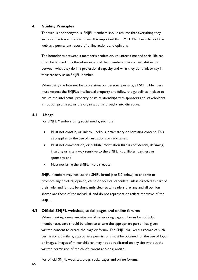## **4. Guiding Principles**

The web is not anonymous. SMJFL Members should assume that everything they write can be traced back to them. It is important that SMJFL Members think of the web as a permanent record of online actions and opinions.

The boundaries between a member's profession, volunteer time and social life can often be blurred. It is therefore essential that members make a clear distinction between what they do in a professional capacity and what they do, think or say in their capacity as an SMJFL Member.

When using the Internet for professional or personal pursuits, all SMJFL Members must respect the SMJFL's intellectual property and follow the guidelines in place to ensure the intellectual property or its relationships with sponsors and stakeholders is not compromised, or the organisation is brought into disrepute.

## **4.1 Usage**

For SMJFL Members using social media, such use:

- Must not contain, or link to, libellous, defamatory or harassing content. This also applies to the use of illustrations or nicknames;
- Must not comment on, or publish, information that is confidential, defaming, insulting or in any way sensitive to the SMJFL, its affiliates, partners or sponsors; and
- Must not bring the SM|FL into disrepute.

SMJFL Members may not use the SMJFL brand (see 5.0 below) to endorse or promote any product, opinion, cause or political candidate unless directed as part of their role; and it must be abundantly clear to all readers that any and all opinion shared are those of the individual, and do not represent or reflect the views of the SMJFL.

# **4.2 Official SMJFL websites, social pages and online forums**

When creating a new website, social networking page or forum for staff/club member use, care should be taken to ensure the appropriate person has given written consent to create the page or forum. The SMJFL will keep a record of such permissions. Similarly, appropriate permissions must be obtained for the use of logos or images. Images of minor children may not be replicated on any site without the written permission of the child's parent and/or guardian.

For official SMJFL websites, blogs, social pages and online forums: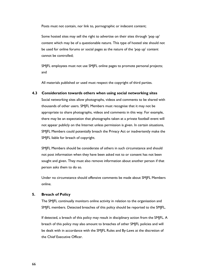Posts must not contain, nor link to, pornographic or indecent content;

Some hosted sites may sell the right to advertise on their sites through 'pop up' content which may be of a questionable nature. This type of hosted site should not be used for online forums or social pages as the nature of the 'pop up' content cannot be controlled;

SMJFL employees must not use SMJFL online pages to promote personal projects; and

All materials published or used must respect the copyright of third parties.

## **4.3 Consideration towards others when using social networking sites**

Social networking sites allow photographs, videos and comments to be shared with thousands of other users. SMJFL Members must recognise that it may not be appropriate to share photographs, videos and comments in this way. For example, there may be an expectation that photographs taken at a private football event will not appear publicly on the Internet unless permission is given. In certain situations, SMJFL Members could potentially breach the Privacy Act or inadvertently make the SMJFL liable for breach of copyright.

SMJFL Members should be considerate of others in such circumstance and should not post information when they have been asked not to or consent has not been sought and given. They must also remove information about another person if that person asks them to do so.

Under no circumstance should offensive comments be made about SMJFL Members online.

# **5. Breach of Policy**

The SMJFL continually monitors online activity in relation to the organisation and SMJFL members. Detected breaches of this policy should be reported to the SMJFL.

If detected, a breach of this policy may result in disciplinary action from the SMJFL. A breach of this policy may also amount to breaches of other SMJFL policies and will be dealt with in accordance with the SMJFL Rules and By-Laws at the discretion of the Chief Executive Officer.